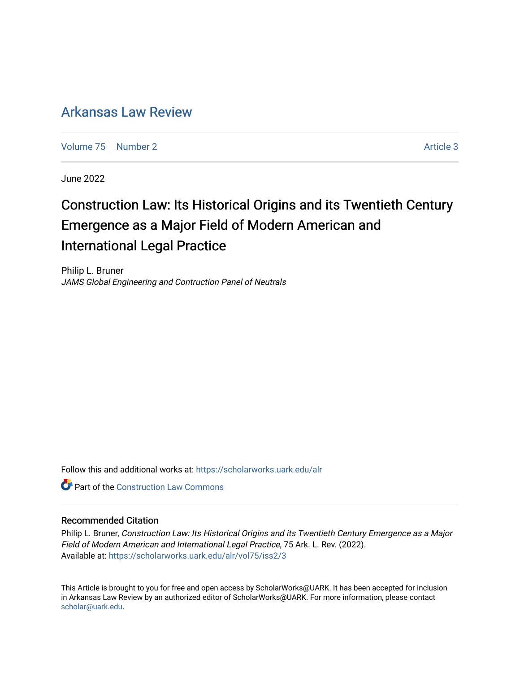# [Arkansas Law Review](https://scholarworks.uark.edu/alr)

[Volume 75](https://scholarworks.uark.edu/alr/vol75) [Number 2](https://scholarworks.uark.edu/alr/vol75/iss2) Article 3

June 2022

# Construction Law: Its Historical Origins and its Twentieth Century Emergence as a Major Field of Modern American and International Legal Practice

Philip L. Bruner JAMS Global Engineering and Contruction Panel of Neutrals

Follow this and additional works at: [https://scholarworks.uark.edu/alr](https://scholarworks.uark.edu/alr?utm_source=scholarworks.uark.edu%2Falr%2Fvol75%2Fiss2%2F3&utm_medium=PDF&utm_campaign=PDFCoverPages) 

**C** Part of the Construction Law Commons

## Recommended Citation

Philip L. Bruner, Construction Law: Its Historical Origins and its Twentieth Century Emergence as a Major Field of Modern American and International Legal Practice, 75 Ark. L. Rev. (2022). Available at: [https://scholarworks.uark.edu/alr/vol75/iss2/3](https://scholarworks.uark.edu/alr/vol75/iss2/3?utm_source=scholarworks.uark.edu%2Falr%2Fvol75%2Fiss2%2F3&utm_medium=PDF&utm_campaign=PDFCoverPages)

This Article is brought to you for free and open access by ScholarWorks@UARK. It has been accepted for inclusion in Arkansas Law Review by an authorized editor of ScholarWorks@UARK. For more information, please contact [scholar@uark.edu](mailto:scholar@uark.edu).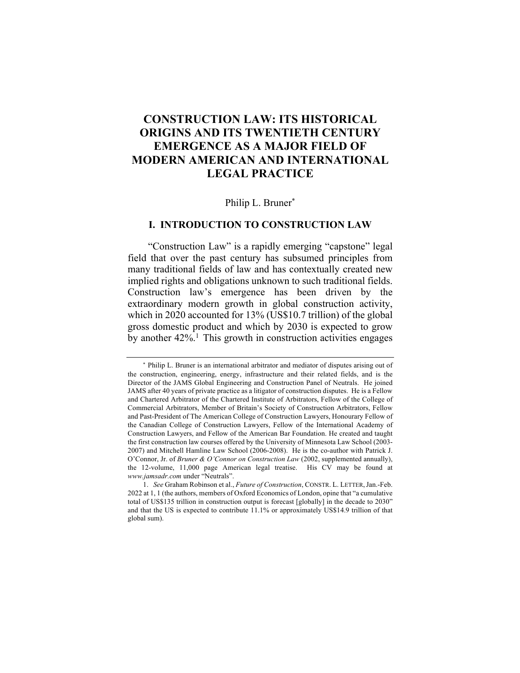# **CONSTRUCTION LAW: ITS HISTORICAL ORIGINS AND ITS TWENTIETH CENTURY EMERGENCE AS A MAJOR FIELD OF MODERN AMERICAN AND INTERNATIONAL LEGAL PRACTICE**

# Philip L. Bruner\*

# **I. INTRODUCTION TO CONSTRUCTION LAW**

"Construction Law" is a rapidly emerging "capstone" legal field that over the past century has subsumed principles from many traditional fields of law and has contextually created new implied rights and obligations unknown to such traditional fields. Construction law's emergence has been driven by the extraordinary modern growth in global construction activity, which in 2020 accounted for 13% (US\$10.7 trillion) of the global gross domestic product and which by 2030 is expected to grow by another  $42\%$ .<sup>1</sup> This growth in construction activities engages

<sup>\*</sup> Philip L. Bruner is an international arbitrator and mediator of disputes arising out of the construction, engineering, energy, infrastructure and their related fields, and is the Director of the JAMS Global Engineering and Construction Panel of Neutrals. He joined JAMS after 40 years of private practice as a litigator of construction disputes. He is a Fellow and Chartered Arbitrator of the Chartered Institute of Arbitrators, Fellow of the College of Commercial Arbitrators, Member of Britain's Society of Construction Arbitrators, Fellow and Past-President of The American College of Construction Lawyers, Honourary Fellow of the Canadian College of Construction Lawyers, Fellow of the International Academy of Construction Lawyers, and Fellow of the American Bar Foundation. He created and taught the first construction law courses offered by the University of Minnesota Law School (2003- 2007) and Mitchell Hamline Law School (2006-2008). He is the co-author with Patrick J. O'Connor, Jr. of *Bruner & O'Connor on Construction Law* (2002, supplemented annually), the 12-volume, 11,000 page American legal treatise. His CV may be found at *www.jamsadr.com* under "Neutrals".

<sup>1.</sup> *See* Graham Robinson et al., *Future of Construction*, CONSTR. L. LETTER,Jan.-Feb. 2022 at 1, 1 (the authors, members of Oxford Economics of London, opine that "a cumulative total of US\$135 trillion in construction output is forecast [globally] in the decade to 2030" and that the US is expected to contribute 11.1% or approximately US\$14.9 trillion of that global sum).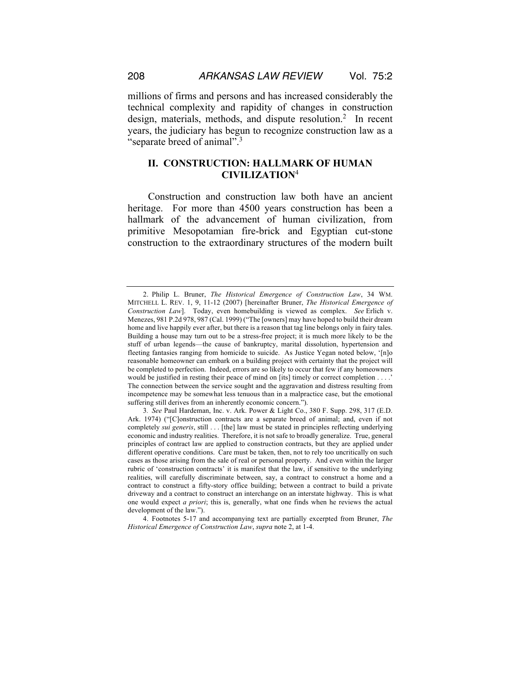millions of firms and persons and has increased considerably the technical complexity and rapidity of changes in construction design, materials, methods, and dispute resolution.<sup>2</sup> In recent years, the judiciary has begun to recognize construction law as a "separate breed of animal".<sup>3</sup>

# **II. CONSTRUCTION: HALLMARK OF HUMAN CIVILIZATION**<sup>4</sup>

Construction and construction law both have an ancient heritage. For more than 4500 years construction has been a hallmark of the advancement of human civilization, from primitive Mesopotamian fire-brick and Egyptian cut-stone construction to the extraordinary structures of the modern built

<sup>2.</sup> Philip L. Bruner, *The Historical Emergence of Construction Law*, 34 WM. MITCHELL L. REV. 1, 9, 11-12 (2007) [hereinafter Bruner, *The Historical Emergence of Construction Law*]. Today, even homebuilding is viewed as complex. *See* Erlich v. Menezes, 981 P.2d 978, 987 (Cal. 1999) ("The [owners] may have hoped to build their dream home and live happily ever after, but there is a reason that tag line belongs only in fairy tales. Building a house may turn out to be a stress-free project; it is much more likely to be the stuff of urban legends—the cause of bankruptcy, marital dissolution, hypertension and fleeting fantasies ranging from homicide to suicide. As Justice Yegan noted below, '[n]o reasonable homeowner can embark on a building project with certainty that the project will be completed to perfection. Indeed, errors are so likely to occur that few if any homeowners would be justified in resting their peace of mind on [its] timely or correct completion . . . .' The connection between the service sought and the aggravation and distress resulting from incompetence may be somewhat less tenuous than in a malpractice case, but the emotional suffering still derives from an inherently economic concern.").

<sup>3</sup>*. See* Paul Hardeman, Inc. v. Ark. Power & Light Co., 380 F. Supp. 298, 317 (E.D. Ark. 1974) ("[C]onstruction contracts are a separate breed of animal; and, even if not completely *sui generis*, still . . . [the] law must be stated in principles reflecting underlying economic and industry realities. Therefore, it is not safe to broadly generalize. True, general principles of contract law are applied to construction contracts, but they are applied under different operative conditions. Care must be taken, then, not to rely too uncritically on such cases as those arising from the sale of real or personal property. And even within the larger rubric of 'construction contracts' it is manifest that the law, if sensitive to the underlying realities, will carefully discriminate between, say, a contract to construct a home and a contract to construct a fifty-story office building; between a contract to build a private driveway and a contract to construct an interchange on an interstate highway. This is what one would expect *a priori*; this is, generally, what one finds when he reviews the actual development of the law.").

<sup>4.</sup> Footnotes 5-17 and accompanying text are partially excerpted from Bruner, *The Historical Emergence of Construction Law*, *supra* note 2, at 1-4.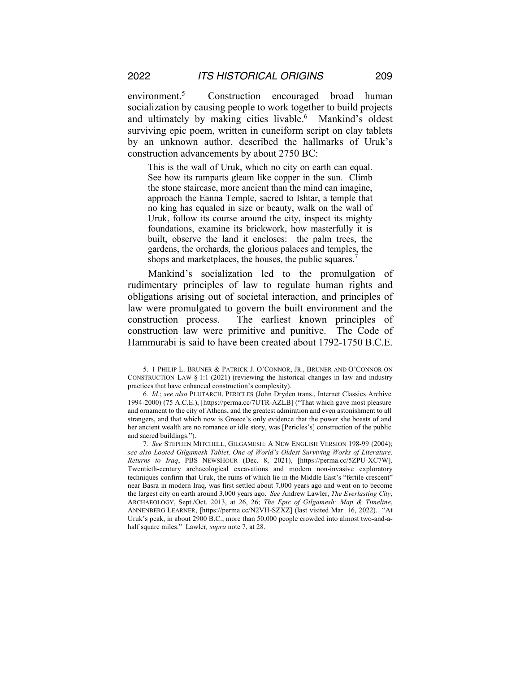environment.5 Construction encouraged broad human socialization by causing people to work together to build projects and ultimately by making cities livable.<sup>6</sup> Mankind's oldest surviving epic poem, written in cuneiform script on clay tablets by an unknown author, described the hallmarks of Uruk's construction advancements by about 2750 BC:

This is the wall of Uruk, which no city on earth can equal. See how its ramparts gleam like copper in the sun. Climb the stone staircase, more ancient than the mind can imagine, approach the Eanna Temple, sacred to Ishtar, a temple that no king has equaled in size or beauty, walk on the wall of Uruk, follow its course around the city, inspect its mighty foundations, examine its brickwork, how masterfully it is built, observe the land it encloses: the palm trees, the gardens, the orchards, the glorious palaces and temples, the shops and marketplaces, the houses, the public squares.

Mankind's socialization led to the promulgation of rudimentary principles of law to regulate human rights and obligations arising out of societal interaction, and principles of law were promulgated to govern the built environment and the construction process. The earliest known principles of construction law were primitive and punitive. The Code of Hammurabi is said to have been created about 1792-1750 B.C.E.

<sup>5.</sup> 1 PHILIP L. BRUNER & PATRICK J. O'CONNOR, JR., BRUNER AND O'CONNOR ON CONSTRUCTION LAW § 1:1 (2021) (reviewing the historical changes in law and industry practices that have enhanced construction's complexity).

<sup>6</sup>*. Id*.; *see also* PLUTARCH, PERICLES (John Dryden trans., Internet Classics Archive 1994-2000) (75 A.C.E.), [https://perma.cc/7UTR-AZLB**]** ("That which gave most pleasure and ornament to the city of Athens, and the greatest admiration and even astonishment to all strangers, and that which now is Greece's only evidence that the power she boasts of and her ancient wealth are no romance or idle story, was [Pericles's] construction of the public and sacred buildings.").

<sup>7</sup>*. See* STEPHEN MITCHELL, GILGAMESH: A NEW ENGLISH VERSION 198-99 (2004); *see also Looted Gilgamesh Tablet, One of World's Oldest Surviving Works of Literature, Returns to Iraq*, PBS NEWSHOUR (Dec. 8, 2021), [https://perma.cc/5ZPU-XC7W]. Twentieth-century archaeological excavations and modern non-invasive exploratory techniques confirm that Uruk, the ruins of which lie in the Middle East's "fertile crescent" near Basra in modern Iraq, was first settled about 7,000 years ago and went on to become the largest city on earth around 3,000 years ago. *See* Andrew Lawler, *The Everlasting City*, ARCHAEOLOGY, Sept./Oct. 2013, at 26, 26; *The Epic of Gilgamesh: Map & Timeline*, ANNENBERG LEARNER, [https://perma.cc/N2VH-SZXZ] (last visited Mar. 16, 2022). "At Uruk's peak, in about 2900 B.C., more than 50,000 people crowded into almost two-and-ahalf square miles." Lawler*, supra* note 7, at 28.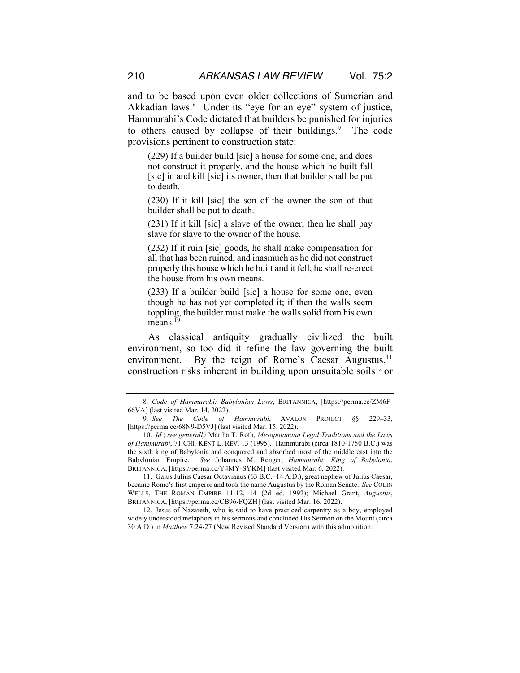and to be based upon even older collections of Sumerian and Akkadian laws.<sup>8</sup> Under its "eye for an eye" system of justice, Hammurabi's Code dictated that builders be punished for injuries to others caused by collapse of their buildings.<sup>9</sup> The code provisions pertinent to construction state:

(229) If a builder build [sic] a house for some one, and does not construct it properly, and the house which he built fall [sic] in and kill [sic] its owner, then that builder shall be put to death.

(230) If it kill [sic] the son of the owner the son of that builder shall be put to death.

(231) If it kill [sic] a slave of the owner, then he shall pay slave for slave to the owner of the house.

(232) If it ruin [sic] goods, he shall make compensation for all that has been ruined, and inasmuch as he did not construct properly this house which he built and it fell, he shall re-erect the house from his own means.

(233) If a builder build [sic] a house for some one, even though he has not yet completed it; if then the walls seem toppling, the builder must make the walls solid from his own  $\overline{\text{means}}$ .<sup>10</sup>

As classical antiquity gradually civilized the built environment, so too did it refine the law governing the built environment. By the reign of Rome's Caesar Augustus, $11$ construction risks inherent in building upon unsuitable soils<sup>12</sup> or

11. Gaius Julius Caesar Octavianus (63 B.C.–14 A.D.), great nephew of Julius Caesar, became Rome's first emperor and took the name Augustus by the Roman Senate. *See* COLIN WELLS, THE ROMAN EMPIRE 11-12, 14 (2d ed. 1992); Michael Grant, *Augustus*, BRITANNICA, [https://perma.cc/CB96-FQZH] (last visited Mar. 16, 2022).

12. Jesus of Nazareth, who is said to have practiced carpentry as a boy, employed widely understood metaphors in his sermons and concluded His Sermon on the Mount (circa 30 A.D.) in *Matthew* 7:24-27 (New Revised Standard Version) with this admonition:

<sup>8</sup>*. Code of Hammurabi: Babylonian Laws*, BRITANNICA, [https://perma.cc/ZM6F-66VA] (last visited Mar. 14, 2022).

<sup>9</sup>*. See The Code of Hammurabi*, AVALON PROJECT §§ 229–33, [https://perma.cc/68N9-D5VJ] (last visited Mar. 15, 2022).

<sup>10.</sup> *Id.*; *see generally* Martha T. Roth, *Mesopotamian Legal Traditions and the Laws of Hammurabi*, 71 CHI.-KENT L. REV. 13 (1995). Hammurabi (circa 1810-1750 B.C.) was the sixth king of Babylonia and conquered and absorbed most of the middle east into the Babylonian Empire. *See* Johannes M. Renger, *Hammurabi: King of Babylonia*, BRITANNICA, [https://perma.cc/Y4MY-SYKM] (last visited Mar. 6, 2022).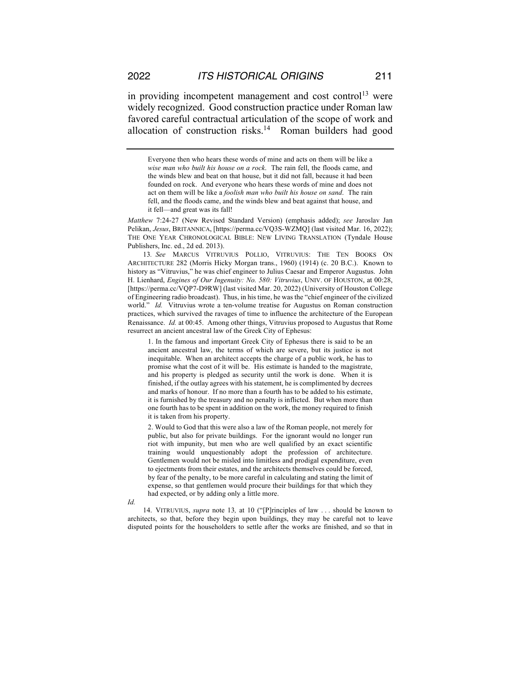in providing incompetent management and cost control<sup>13</sup> were widely recognized. Good construction practice under Roman law favored careful contractual articulation of the scope of work and allocation of construction risks.14 Roman builders had good

*Matthew* 7:24-27 (New Revised Standard Version) (emphasis added); *see* Jaroslav Jan Pelikan, *Jesus*, BRITANNICA, [https://perma.cc/VQ3S-WZMQ] (last visited Mar. 16, 2022); THE ONE YEAR CHRONOLOGICAL BIBLE: NEW LIVING TRANSLATION (Tyndale House Publishers, Inc. ed., 2d ed. 2013).

13*. See* MARCUS VITRUVIUS POLLIO, VITRUVIUS: THE TEN BOOKS ON ARCHITECTURE 282 (Morris Hicky Morgan trans., 1960) (1914) (c. 20 B.C.). Known to history as "Vitruvius," he was chief engineer to Julius Caesar and Emperor Augustus. John H. Lienhard, *Engines of Our Ingenuity: No. 580: Vitruvius*, UNIV. OF HOUSTON, at 00:28, [https://perma.cc/VQP7-D9RW] (last visited Mar. 20, 2022) (University of Houston College of Engineering radio broadcast). Thus, in his time, he was the "chief engineer of the civilized world." *Id.* Vitruvius wrote a ten-volume treatise for Augustus on Roman construction practices, which survived the ravages of time to influence the architecture of the European Renaissance. *Id.* at 00:45. Among other things, Vitruvius proposed to Augustus that Rome resurrect an ancient ancestral law of the Greek City of Ephesus:

1. In the famous and important Greek City of Ephesus there is said to be an ancient ancestral law, the terms of which are severe, but its justice is not inequitable. When an architect accepts the charge of a public work, he has to promise what the cost of it will be. His estimate is handed to the magistrate, and his property is pledged as security until the work is done. When it is finished, if the outlay agrees with his statement, he is complimented by decrees and marks of honour. If no more than a fourth has to be added to his estimate, it is furnished by the treasury and no penalty is inflicted. But when more than one fourth has to be spent in addition on the work, the money required to finish it is taken from his property.

2. Would to God that this were also a law of the Roman people, not merely for public, but also for private buildings. For the ignorant would no longer run riot with impunity, but men who are well qualified by an exact scientific training would unquestionably adopt the profession of architecture. Gentlemen would not be misled into limitless and prodigal expenditure, even to ejectments from their estates, and the architects themselves could be forced, by fear of the penalty, to be more careful in calculating and stating the limit of expense, so that gentlemen would procure their buildings for that which they had expected, or by adding only a little more.

*Id.*

14. VITRUVIUS, *supra* note 13*,* at 10 ("[P]rinciples of law . . . should be known to architects, so that, before they begin upon buildings, they may be careful not to leave disputed points for the householders to settle after the works are finished, and so that in

Everyone then who hears these words of mine and acts on them will be like a *wise man who built his house on a rock*. The rain fell, the floods came, and the winds blew and beat on that house, but it did not fall, because it had been founded on rock. And everyone who hears these words of mine and does not act on them will be like a *foolish man who built his house on sand*. The rain fell, and the floods came, and the winds blew and beat against that house, and it fell—and great was its fall!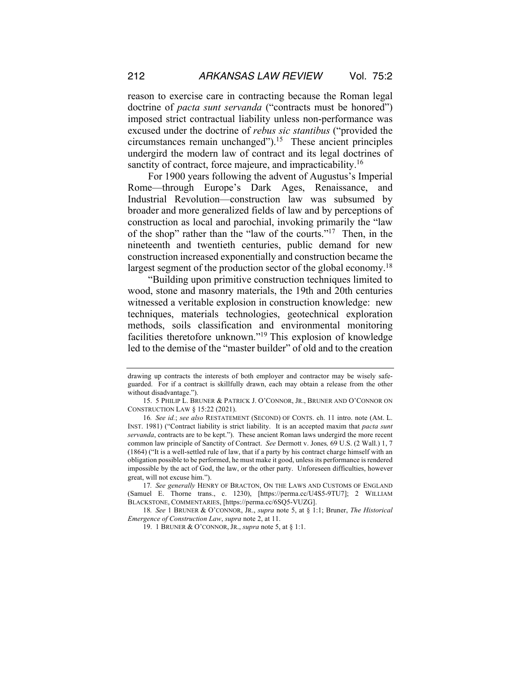reason to exercise care in contracting because the Roman legal doctrine of *pacta sunt servanda* ("contracts must be honored") imposed strict contractual liability unless non-performance was excused under the doctrine of *rebus sic stantibus* ("provided the circumstances remain unchanged").15 These ancient principles undergird the modern law of contract and its legal doctrines of sanctity of contract, force majeure, and impracticability.<sup>16</sup>

For 1900 years following the advent of Augustus's Imperial Rome—through Europe's Dark Ages, Renaissance, and Industrial Revolution—construction law was subsumed by broader and more generalized fields of law and by perceptions of construction as local and parochial, invoking primarily the "law of the shop" rather than the "law of the courts."17 Then, in the nineteenth and twentieth centuries, public demand for new construction increased exponentially and construction became the largest segment of the production sector of the global economy.<sup>18</sup>

"Building upon primitive construction techniques limited to wood, stone and masonry materials, the 19th and 20th centuries witnessed a veritable explosion in construction knowledge: new techniques, materials technologies, geotechnical exploration methods, soils classification and environmental monitoring facilities theretofore unknown."19 This explosion of knowledge led to the demise of the "master builder" of old and to the creation

drawing up contracts the interests of both employer and contractor may be wisely safeguarded. For if a contract is skillfully drawn, each may obtain a release from the other without disadvantage.").

<sup>15.</sup> 5 PHILIP L. BRUNER & PATRICK J. O'CONNOR, JR., BRUNER AND O'CONNOR ON CONSTRUCTION LAW § 15:22 (2021).

<sup>16</sup>*. See id.*; *see also* RESTATEMENT (SECOND) OF CONTS. ch. 11 intro. note (AM. L. INST. 1981) ("Contract liability is strict liability. It is an accepted maxim that *pacta sunt servanda*, contracts are to be kept."). These ancient Roman laws undergird the more recent common law principle of Sanctity of Contract. *See* Dermott v. Jones*,* 69 U.S. (2 Wall.) 1, 7 (1864) ("It is a well-settled rule of law, that if a party by his contract charge himself with an obligation possible to be performed, he must make it good, unless its performance is rendered impossible by the act of God, the law, or the other party. Unforeseen difficulties, however great, will not excuse him.").

<sup>17</sup>*. See generally* HENRY OF BRACTON, ON THE LAWS AND CUSTOMS OF ENGLAND (Samuel E. Thorne trans., c. 1230), [https://perma.cc/U4S5-9TU7]; 2 WILLIAM BLACKSTONE, COMMENTARIES, [https://perma.cc/6SQ5-VUZG].

<sup>18</sup>*. See* 1 BRUNER & O'CONNOR, JR., *supra* note 5, at § 1:1; Bruner, *The Historical Emergence of Construction Law*, *supra* note 2, at 11.

<sup>19.</sup> 1 BRUNER & O'CONNOR, JR., *supra* note 5, at § 1:1.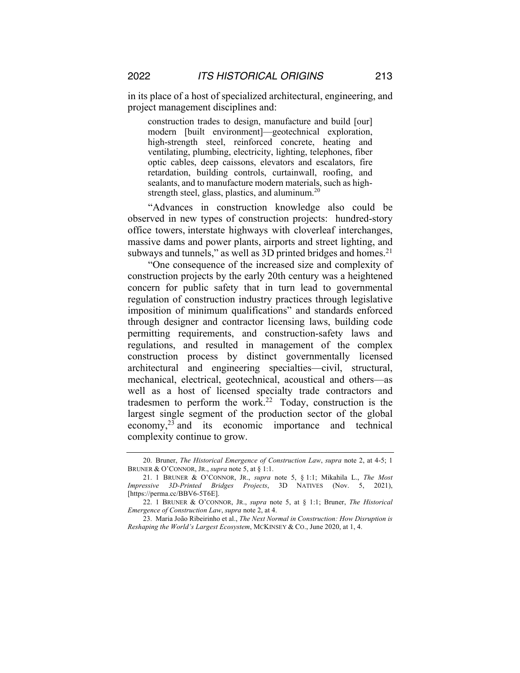in its place of a host of specialized architectural, engineering, and project management disciplines and:

construction trades to design, manufacture and build [our] modern [built environment]—geotechnical exploration, high-strength steel, reinforced concrete, heating and ventilating, plumbing, electricity, lighting, telephones, fiber optic cables, deep caissons, elevators and escalators, fire retardation, building controls, curtainwall, roofing, and sealants, and to manufacture modern materials, such as highstrength steel, glass, plastics, and aluminum.<sup>20</sup>

"Advances in construction knowledge also could be observed in new types of construction projects: hundred-story office towers, interstate highways with cloverleaf interchanges, massive dams and power plants, airports and street lighting, and subways and tunnels," as well as 3D printed bridges and homes. $2<sup>1</sup>$ 

"One consequence of the increased size and complexity of construction projects by the early 20th century was a heightened concern for public safety that in turn lead to governmental regulation of construction industry practices through legislative imposition of minimum qualifications" and standards enforced through designer and contractor licensing laws, building code permitting requirements, and construction-safety laws and regulations, and resulted in management of the complex construction process by distinct governmentally licensed architectural and engineering specialties—civil, structural, mechanical, electrical, geotechnical, acoustical and others—as well as a host of licensed specialty trade contractors and tradesmen to perform the work.<sup>22</sup> Today, construction is the largest single segment of the production sector of the global economy,23 and its economic importance and technical complexity continue to grow.

<sup>20.</sup> Bruner, *The Historical Emergence of Construction Law*, *supra* note 2, at 4-5; 1 BRUNER & O'CONNOR, JR., *supra* note 5, at § 1:1.

<sup>21.</sup> 1 BRUNER & O'CONNOR, JR., *supra* note 5, § 1:1; Mikahila L., *The Most Impressive 3D-Printed Bridges Projects*, 3D NATIVES (Nov. 5, 2021), [https://perma.cc/BBV6-5T6E].

<sup>22.</sup> 1 BRUNER & O'CONNOR, JR., *supra* note 5, at § 1:1; Bruner, *The Historical Emergence of Construction Law*, *supra* note 2, at 4.

<sup>23.</sup> Maria João Ribeirinho et al., *The Next Normal in Construction: How Disruption is Reshaping the World's Largest Ecosystem*, MCKINSEY & CO., June 2020, at 1, 4.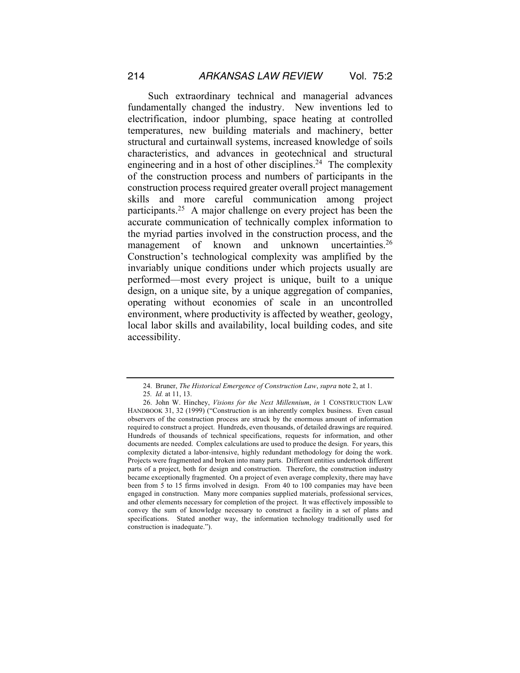Such extraordinary technical and managerial advances fundamentally changed the industry. New inventions led to electrification, indoor plumbing, space heating at controlled temperatures, new building materials and machinery, better structural and curtainwall systems, increased knowledge of soils characteristics, and advances in geotechnical and structural engineering and in a host of other disciplines.<sup>24</sup> The complexity of the construction process and numbers of participants in the construction process required greater overall project management skills and more careful communication among project participants.25 A major challenge on every project has been the accurate communication of technically complex information to the myriad parties involved in the construction process, and the management of known and unknown uncertainties.<sup>26</sup> Construction's technological complexity was amplified by the invariably unique conditions under which projects usually are performed—most every project is unique, built to a unique design, on a unique site, by a unique aggregation of companies, operating without economies of scale in an uncontrolled environment, where productivity is affected by weather, geology, local labor skills and availability, local building codes, and site accessibility.

<sup>24.</sup> Bruner, *The Historical Emergence of Construction Law*, *supra* note 2, at 1.

<sup>25</sup>*. Id.* at 11, 13.

<sup>26.</sup> John W. Hinchey, *Visions for the Next Millennium*, *in* 1 CONSTRUCTION LAW HANDBOOK 31, 32 (1999) ("Construction is an inherently complex business. Even casual observers of the construction process are struck by the enormous amount of information required to construct a project. Hundreds, even thousands, of detailed drawings are required. Hundreds of thousands of technical specifications, requests for information, and other documents are needed. Complex calculations are used to produce the design. For years, this complexity dictated a labor-intensive, highly redundant methodology for doing the work. Projects were fragmented and broken into many parts. Different entities undertook different parts of a project, both for design and construction. Therefore, the construction industry became exceptionally fragmented. On a project of even average complexity, there may have been from 5 to 15 firms involved in design. From 40 to 100 companies may have been engaged in construction. Many more companies supplied materials, professional services, and other elements necessary for completion of the project. It was effectively impossible to convey the sum of knowledge necessary to construct a facility in a set of plans and specifications. Stated another way, the information technology traditionally used for construction is inadequate.").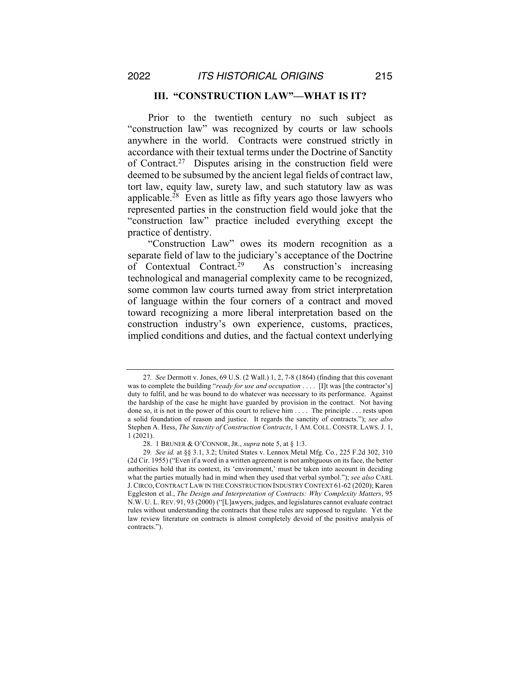#### **III. "CONSTRUCTION LAW"—WHAT IS IT?**

Prior to the twentieth century no such subject as "construction law" was recognized by courts or law schools anywhere in the world. Contracts were construed strictly in accordance with their textual terms under the Doctrine of Sanctity of Contract.<sup>27</sup> Disputes arising in the construction field were deemed to be subsumed by the ancient legal fields of contract law, tort law, equity law, surety law, and such statutory law as was applicable.28 Even as little as fifty years ago those lawyers who represented parties in the construction field would joke that the "construction law" practice included everything except the practice of dentistry.

"Construction Law" owes its modern recognition as a separate field of law to the judiciary's acceptance of the Doctrine of Contextual Contract.<sup>29</sup> As construction's increasing technological and managerial complexity came to be recognized, some common law courts turned away from strict interpretation of language within the four corners of a contract and moved toward recognizing a more liberal interpretation based on the construction industry's own experience, customs, practices, implied conditions and duties, and the factual context underlying

<sup>27</sup>*. See* Dermott v. Jones, 69 U.S. (2 Wall.) 1, 2, 7-8 (1864) (finding that this covenant was to complete the building "*ready for use and occupation* .... [I]t was [the contractor's] duty to fulfil, and he was bound to do whatever was necessary to its performance. Against the hardship of the case he might have guarded by provision in the contract. Not having done so, it is not in the power of this court to relieve him . . . . The principle . . . rests upon a solid foundation of reason and justice. It regards the sanctity of contracts."); *see also* Stephen A. Hess, *The Sanctity of Construction Contracts*, 1 AM. COLL. CONSTR. LAWS.J. 1, 1 (2021).

<sup>28.</sup> 1 BRUNER & O'CONNOR, JR., *supra* note 5, at § 1:3.

<sup>29</sup>*. See id.* at §§ 3.1, 3.2; United States v. Lennox Metal Mfg. Co*.*, 225 F.2d 302, 310 (2d Cir. 1955) ("Even if a word in a written agreement is not ambiguous on its face, the better authorities hold that its context, its 'environment,' must be taken into account in deciding what the parties mutually had in mind when they used that verbal symbol."); *see also* CARL J.CIRCO,CONTRACT LAW IN THE CONSTRUCTION INDUSTRY CONTEXT 61-62 (2020); Karen Eggleston et al., *The Design and Interpretation of Contracts: Why Complexity Matters*, 95 N.W. U. L. REV. 91, 93 (2000) ("[L]awyers, judges, and legislatures cannot evaluate contract rules without understanding the contracts that these rules are supposed to regulate. Yet the law review literature on contracts is almost completely devoid of the positive analysis of contracts.").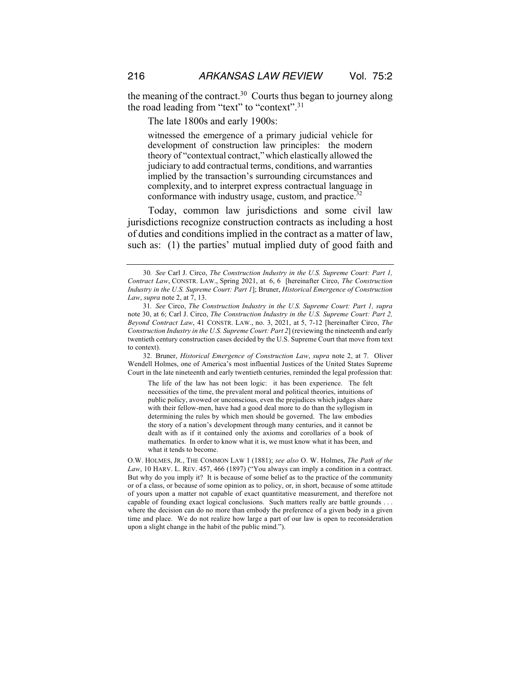the meaning of the contract.<sup>30</sup> Courts thus began to journey along the road leading from "text" to "context".31

The late 1800s and early 1900s:

witnessed the emergence of a primary judicial vehicle for development of construction law principles: the modern theory of "contextual contract,"which elastically allowed the judiciary to add contractual terms, conditions, and warranties implied by the transaction's surrounding circumstances and complexity, and to interpret express contractual language in conformance with industry usage, custom, and practice.<sup>32</sup>

Today, common law jurisdictions and some civil law jurisdictions recognize construction contracts as including a host of duties and conditions implied in the contract as a matter of law, such as: (1) the parties' mutual implied duty of good faith and

32. Bruner, *Historical Emergence of Construction Law*, *supra* note 2, at 7. Oliver Wendell Holmes, one of America's most influential Justices of the United States Supreme Court in the late nineteenth and early twentieth centuries, reminded the legal profession that:

The life of the law has not been logic: it has been experience. The felt necessities of the time, the prevalent moral and political theories, intuitions of public policy, avowed or unconscious, even the prejudices which judges share with their fellow-men, have had a good deal more to do than the syllogism in determining the rules by which men should be governed. The law embodies the story of a nation's development through many centuries, and it cannot be dealt with as if it contained only the axioms and corollaries of a book of mathematics. In order to know what it is, we must know what it has been, and what it tends to become.

O.W. HOLMES, JR., THE COMMON LAW 1 (1881); *see also* O. W. Holmes, *The Path of the Law*, 10 HARV. L. REV. 457, 466 (1897) ("You always can imply a condition in a contract. But why do you imply it? It is because of some belief as to the practice of the community or of a class, or because of some opinion as to policy, or, in short, because of some attitude of yours upon a matter not capable of exact quantitative measurement, and therefore not capable of founding exact logical conclusions. Such matters really are battle grounds . . . where the decision can do no more than embody the preference of a given body in a given time and place. We do not realize how large a part of our law is open to reconsideration upon a slight change in the habit of the public mind.").

<sup>30</sup>*. See* Carl J. Circo, *The Construction Industry in the U.S. Supreme Court: Part 1, Contract Law*, CONSTR. LAW., Spring 2021, at 6, 6 [hereinafter Circo, *The Construction Industry in the U.S. Supreme Court: Part 1*]; Bruner, *Historical Emergence of Construction Law*, *supra* note 2, at 7, 13.

<sup>31</sup>*. See* Circo, *The Construction Industry in the U.S. Supreme Court: Part 1, supra*  note 30, at 6; Carl J. Circo, *The Construction Industry in the U.S. Supreme Court: Part 2, Beyond Contract Law*, 41 CONSTR. LAW., no. 3, 2021, at 5, 7-12 [hereinafter Circo, *The Construction Industry in the U.S. Supreme Court: Part 2*] (reviewing the nineteenth and early twentieth century construction cases decided by the U.S. Supreme Court that move from text to context).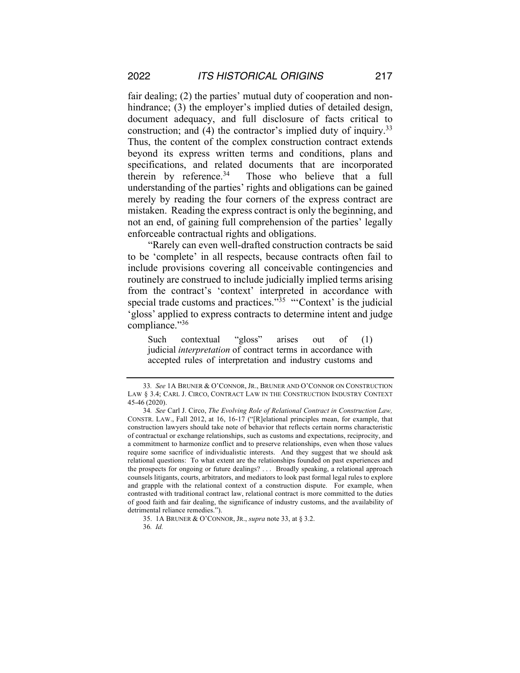fair dealing; (2) the parties' mutual duty of cooperation and nonhindrance; (3) the employer's implied duties of detailed design, document adequacy, and full disclosure of facts critical to construction; and (4) the contractor's implied duty of inquiry.<sup>33</sup> Thus, the content of the complex construction contract extends beyond its express written terms and conditions, plans and specifications, and related documents that are incorporated therein by reference. $34$  Those who believe that a full understanding of the parties' rights and obligations can be gained merely by reading the four corners of the express contract are mistaken. Reading the express contract is only the beginning, and not an end, of gaining full comprehension of the parties' legally enforceable contractual rights and obligations.

"Rarely can even well-drafted construction contracts be said to be 'complete' in all respects, because contracts often fail to include provisions covering all conceivable contingencies and routinely are construed to include judicially implied terms arising from the contract's 'context' interpreted in accordance with special trade customs and practices."<sup>35</sup> "Context' is the judicial 'gloss' applied to express contracts to determine intent and judge compliance."36

Such contextual "gloss" arises out of (1) judicial *interpretation* of contract terms in accordance with accepted rules of interpretation and industry customs and

<sup>33</sup>*. See* 1A BRUNER & O'CONNOR, JR., BRUNER AND O'CONNOR ON CONSTRUCTION LAW § 3.4; CARL J. CIRCO, CONTRACT LAW IN THE CONSTRUCTION INDUSTRY CONTEXT 45-46 (2020).

<sup>34</sup>*. See* Carl J. Circo, *The Evolving Role of Relational Contract in Construction Law,*  CONSTR. LAW., Fall 2012, at 16, 16-17 ("[R]elational principles mean, for example, that construction lawyers should take note of behavior that reflects certain norms characteristic of contractual or exchange relationships, such as customs and expectations, reciprocity, and a commitment to harmonize conflict and to preserve relationships, even when those values require some sacrifice of individualistic interests. And they suggest that we should ask relational questions: To what extent are the relationships founded on past experiences and the prospects for ongoing or future dealings? . . . Broadly speaking, a relational approach counsels litigants, courts, arbitrators, and mediators to look past formal legal rules to explore and grapple with the relational context of a construction dispute. For example, when contrasted with traditional contract law, relational contract is more committed to the duties of good faith and fair dealing, the significance of industry customs, and the availability of detrimental reliance remedies.").

<sup>35.</sup> 1A BRUNER & O'CONNOR, JR., *supra* note 33, at § 3.2.

<sup>36</sup>*. Id.*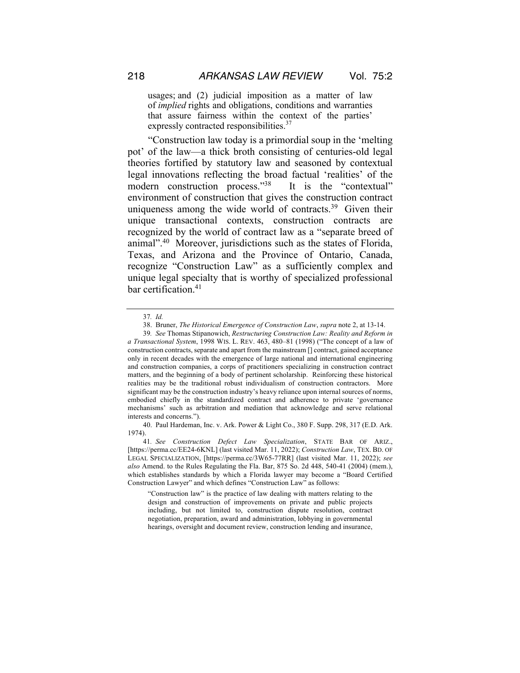usages; and (2) judicial imposition as a matter of law of *implied* rights and obligations, conditions and warranties that assure fairness within the context of the parties' expressly contracted responsibilities.<sup>37</sup>

"Construction law today is a primordial soup in the 'melting pot' of the law—a thick broth consisting of centuries-old legal theories fortified by statutory law and seasoned by contextual legal innovations reflecting the broad factual 'realities' of the modern construction process."<sup>38</sup> It is the "contextual" environment of construction that gives the construction contract uniqueness among the wide world of contracts.<sup>39</sup> Given their unique transactional contexts, construction contracts are recognized by the world of contract law as a "separate breed of animal".40 Moreover, jurisdictions such as the states of Florida, Texas, and Arizona and the Province of Ontario, Canada, recognize "Construction Law" as a sufficiently complex and unique legal specialty that is worthy of specialized professional bar certification.<sup>41</sup>

"Construction law" is the practice of law dealing with matters relating to the design and construction of improvements on private and public projects including, but not limited to, construction dispute resolution, contract negotiation, preparation, award and administration, lobbying in governmental hearings, oversight and document review, construction lending and insurance,

<sup>37</sup>*. Id.*

<sup>38.</sup> Bruner, *The Historical Emergence of Construction Law*, *supra* note 2, at 13-14.

<sup>39</sup>*. See* Thomas Stipanowich, *Restructuring Construction Law: Reality and Reform in a Transactional System*, 1998 WIS. L. REV. 463, 480–81 (1998) ("The concept of a law of construction contracts, separate and apart from the mainstream [] contract, gained acceptance only in recent decades with the emergence of large national and international engineering and construction companies, a corps of practitioners specializing in construction contract matters, and the beginning of a body of pertinent scholarship. Reinforcing these historical realities may be the traditional robust individualism of construction contractors. More significant may be the construction industry's heavy reliance upon internal sources of norms, embodied chiefly in the standardized contract and adherence to private 'governance mechanisms' such as arbitration and mediation that acknowledge and serve relational interests and concerns.").

<sup>40.</sup> Paul Hardeman, Inc. v. Ark. Power & Light Co., 380 F. Supp. 298, 317 (E.D. Ark. 1974).

<sup>41</sup>*. See Construction Defect Law Specialization*, STATE BAR OF ARIZ., [https://perma.cc/EE24-6KNL] (last visited Mar. 11, 2022); *Construction Law*, TEX. BD. OF LEGAL SPECIALIZATION, [https://perma.cc/3W65-77RR] (last visited Mar. 11, 2022); *see also* Amend. to the Rules Regulating the Fla. Bar, 875 So. 2d 448, 540-41 (2004) (mem.), which establishes standards by which a Florida lawyer may become a "Board Certified Construction Lawyer" and which defines "Construction Law" as follows: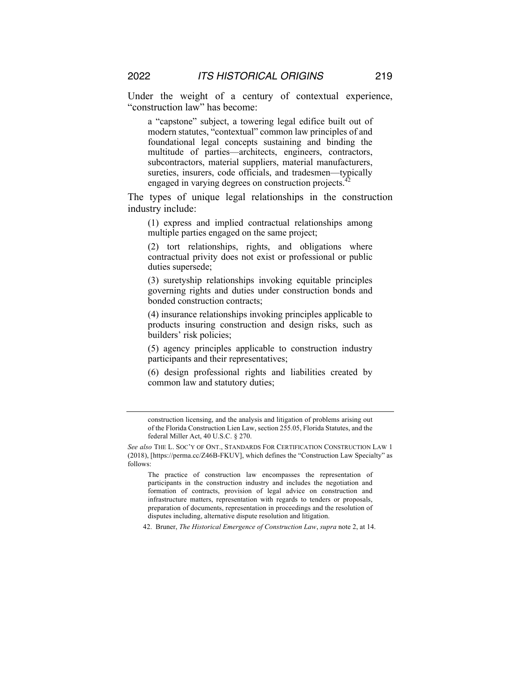Under the weight of a century of contextual experience, "construction law" has become:

a "capstone" subject, a towering legal edifice built out of modern statutes, "contextual" common law principles of and foundational legal concepts sustaining and binding the multitude of parties—architects, engineers, contractors, subcontractors, material suppliers, material manufacturers, sureties, insurers, code officials, and tradesmen—typically engaged in varying degrees on construction projects.<sup>4</sup>

The types of unique legal relationships in the construction industry include:

(1) express and implied contractual relationships among multiple parties engaged on the same project;

(2) tort relationships, rights, and obligations where contractual privity does not exist or professional or public duties supersede;

(3) suretyship relationships invoking equitable principles governing rights and duties under construction bonds and bonded construction contracts;

(4) insurance relationships invoking principles applicable to products insuring construction and design risks, such as builders' risk policies;

(5) agency principles applicable to construction industry participants and their representatives;

(6) design professional rights and liabilities created by common law and statutory duties;

42. Bruner, *The Historical Emergence of Construction Law*, *supra* note 2, at 14.

construction licensing, and the analysis and litigation of problems arising out of the Florida Construction Lien Law, section 255.05, Florida Statutes, and the federal Miller Act, 40 U.S.C. § 270.

*See also* THE L. SOC'Y OF ONT., STANDARDS FOR CERTIFICATION CONSTRUCTION LAW 1 (2018), [https://perma.cc/Z46B-FKUV], which defines the "Construction Law Specialty" as follows:

The practice of construction law encompasses the representation of participants in the construction industry and includes the negotiation and formation of contracts, provision of legal advice on construction and infrastructure matters, representation with regards to tenders or proposals, preparation of documents, representation in proceedings and the resolution of disputes including, alternative dispute resolution and litigation.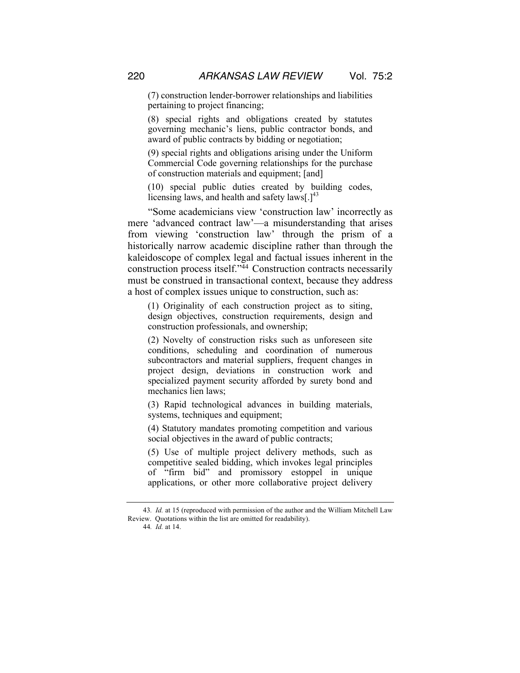(7) construction lender-borrower relationships and liabilities pertaining to project financing;

(8) special rights and obligations created by statutes governing mechanic's liens, public contractor bonds, and award of public contracts by bidding or negotiation;

(9) special rights and obligations arising under the Uniform Commercial Code governing relationships for the purchase of construction materials and equipment; [and]

(10) special public duties created by building codes, licensing laws, and health and safety laws[ $.1<sup>43</sup>$ 

"Some academicians view 'construction law' incorrectly as mere 'advanced contract law'—a misunderstanding that arises from viewing 'construction law' through the prism of a historically narrow academic discipline rather than through the kaleidoscope of complex legal and factual issues inherent in the construction process itself."44 Construction contracts necessarily must be construed in transactional context, because they address a host of complex issues unique to construction, such as:

(1) Originality of each construction project as to siting, design objectives, construction requirements, design and construction professionals, and ownership;

(2) Novelty of construction risks such as unforeseen site conditions, scheduling and coordination of numerous subcontractors and material suppliers, frequent changes in project design, deviations in construction work and specialized payment security afforded by surety bond and mechanics lien laws;

(3) Rapid technological advances in building materials, systems, techniques and equipment;

(4) Statutory mandates promoting competition and various social objectives in the award of public contracts;

(5) Use of multiple project delivery methods, such as competitive sealed bidding, which invokes legal principles of "firm bid" and promissory estoppel in unique applications, or other more collaborative project delivery

<sup>43</sup>*. Id.* at 15 (reproduced with permission of the author and the William Mitchell Law Review. Quotations within the list are omitted for readability).

<sup>44</sup>*. Id.* at 14.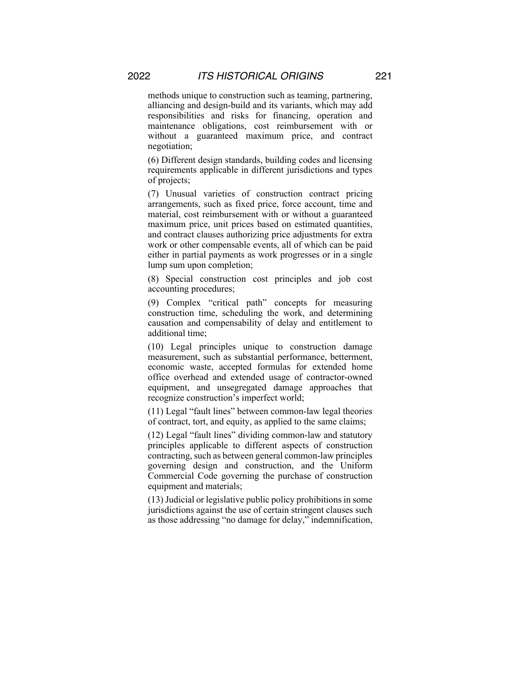methods unique to construction such as teaming, partnering, alliancing and design-build and its variants, which may add responsibilities and risks for financing, operation and maintenance obligations, cost reimbursement with or without a guaranteed maximum price, and contract negotiation;

(6) Different design standards, building codes and licensing requirements applicable in different jurisdictions and types of projects;

(7) Unusual varieties of construction contract pricing arrangements, such as fixed price, force account, time and material, cost reimbursement with or without a guaranteed maximum price, unit prices based on estimated quantities, and contract clauses authorizing price adjustments for extra work or other compensable events, all of which can be paid either in partial payments as work progresses or in a single lump sum upon completion;

(8) Special construction cost principles and job cost accounting procedures;

(9) Complex "critical path" concepts for measuring construction time, scheduling the work, and determining causation and compensability of delay and entitlement to additional time;

(10) Legal principles unique to construction damage measurement, such as substantial performance, betterment, economic waste, accepted formulas for extended home office overhead and extended usage of contractor-owned equipment, and unsegregated damage approaches that recognize construction's imperfect world;

(11) Legal "fault lines" between common-law legal theories of contract, tort, and equity, as applied to the same claims;

(12) Legal "fault lines" dividing common-law and statutory principles applicable to different aspects of construction contracting, such as between general common-law principles governing design and construction, and the Uniform Commercial Code governing the purchase of construction equipment and materials;

(13) Judicial or legislative public policy prohibitions in some jurisdictions against the use of certain stringent clauses such as those addressing "no damage for delay," indemnification,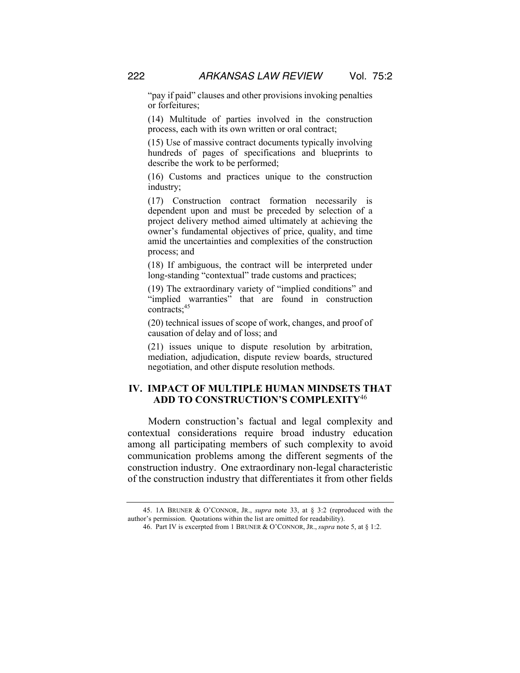"pay if paid" clauses and other provisions invoking penalties or forfeitures;

(14) Multitude of parties involved in the construction process, each with its own written or oral contract;

(15) Use of massive contract documents typically involving hundreds of pages of specifications and blueprints to describe the work to be performed;

(16) Customs and practices unique to the construction industry;

(17) Construction contract formation necessarily is dependent upon and must be preceded by selection of a project delivery method aimed ultimately at achieving the owner's fundamental objectives of price, quality, and time amid the uncertainties and complexities of the construction process; and

(18) If ambiguous, the contract will be interpreted under long-standing "contextual" trade customs and practices;

(19) The extraordinary variety of "implied conditions" and "implied warranties" that are found in construction contracts;<sup>45</sup>

(20) technical issues of scope of work, changes, and proof of causation of delay and of loss; and

(21) issues unique to dispute resolution by arbitration, mediation, adjudication, dispute review boards, structured negotiation, and other dispute resolution methods.

# **IV. IMPACT OF MULTIPLE HUMAN MINDSETS THAT ADD TO CONSTRUCTION'S COMPLEXITY**<sup>46</sup>

Modern construction's factual and legal complexity and contextual considerations require broad industry education among all participating members of such complexity to avoid communication problems among the different segments of the construction industry. One extraordinary non-legal characteristic of the construction industry that differentiates it from other fields

<sup>45.</sup> 1A BRUNER & O'CONNOR, JR., *supra* note 33, at § 3:2 (reproduced with the author's permission. Quotations within the list are omitted for readability).

<sup>46.</sup> Part IV is excerpted from 1 BRUNER & O'CONNOR, JR., *supra* note 5, at § 1:2.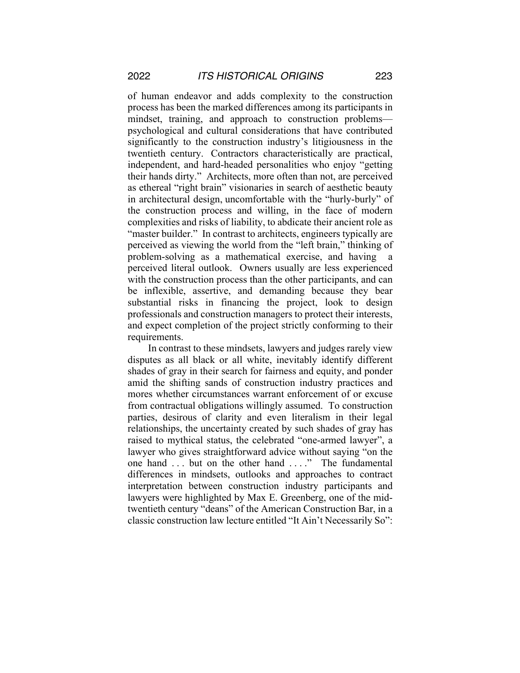of human endeavor and adds complexity to the construction process has been the marked differences among its participants in mindset, training, and approach to construction problems psychological and cultural considerations that have contributed significantly to the construction industry's litigiousness in the twentieth century. Contractors characteristically are practical, independent, and hard-headed personalities who enjoy "getting their hands dirty." Architects, more often than not, are perceived as ethereal "right brain" visionaries in search of aesthetic beauty in architectural design, uncomfortable with the "hurly-burly" of the construction process and willing, in the face of modern complexities and risks of liability, to abdicate their ancient role as "master builder." In contrast to architects, engineers typically are perceived as viewing the world from the "left brain," thinking of problem-solving as a mathematical exercise, and having a perceived literal outlook. Owners usually are less experienced with the construction process than the other participants, and can be inflexible, assertive, and demanding because they bear substantial risks in financing the project, look to design professionals and construction managers to protect their interests, and expect completion of the project strictly conforming to their requirements.

In contrast to these mindsets, lawyers and judges rarely view disputes as all black or all white, inevitably identify different shades of gray in their search for fairness and equity, and ponder amid the shifting sands of construction industry practices and mores whether circumstances warrant enforcement of or excuse from contractual obligations willingly assumed. To construction parties, desirous of clarity and even literalism in their legal relationships, the uncertainty created by such shades of gray has raised to mythical status, the celebrated "one-armed lawyer", a lawyer who gives straightforward advice without saying "on the one hand ... but on the other hand ...." The fundamental differences in mindsets, outlooks and approaches to contract interpretation between construction industry participants and lawyers were highlighted by Max E. Greenberg, one of the midtwentieth century "deans" of the American Construction Bar, in a classic construction law lecture entitled "It Ain't Necessarily So":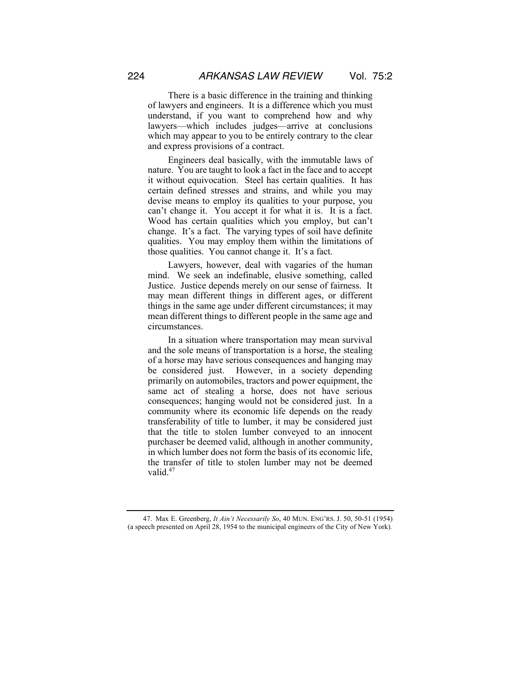There is a basic difference in the training and thinking of lawyers and engineers. It is a difference which you must understand, if you want to comprehend how and why lawyers—which includes judges—arrive at conclusions which may appear to you to be entirely contrary to the clear and express provisions of a contract.

Engineers deal basically, with the immutable laws of nature. You are taught to look a fact in the face and to accept it without equivocation. Steel has certain qualities. It has certain defined stresses and strains, and while you may devise means to employ its qualities to your purpose, you can't change it. You accept it for what it is. It is a fact. Wood has certain qualities which you employ, but can't change. It's a fact. The varying types of soil have definite qualities. You may employ them within the limitations of those qualities. You cannot change it. It's a fact.

Lawyers, however, deal with vagaries of the human mind. We seek an indefinable, elusive something, called Justice. Justice depends merely on our sense of fairness. It may mean different things in different ages, or different things in the same age under different circumstances; it may mean different things to different people in the same age and circumstances.

In a situation where transportation may mean survival and the sole means of transportation is a horse, the stealing of a horse may have serious consequences and hanging may be considered just. However, in a society depending primarily on automobiles, tractors and power equipment, the same act of stealing a horse, does not have serious consequences; hanging would not be considered just. In a community where its economic life depends on the ready transferability of title to lumber, it may be considered just that the title to stolen lumber conveyed to an innocent purchaser be deemed valid, although in another community, in which lumber does not form the basis of its economic life, the transfer of title to stolen lumber may not be deemed valid.<sup>47</sup>

<sup>47.</sup> Max E. Greenberg, *It Ain't Necessarily So*, 40 MUN. ENG'RS. J. 50, 50-51 (1954) (a speech presented on April 28, 1954 to the municipal engineers of the City of New York)*.*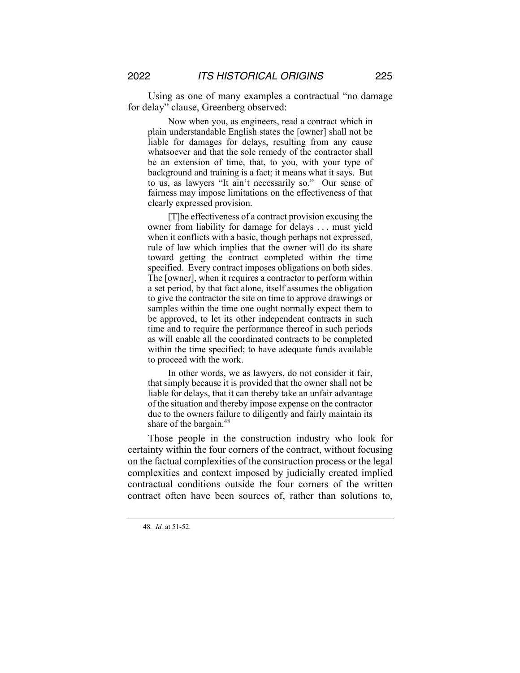Using as one of many examples a contractual "no damage for delay" clause, Greenberg observed:

Now when you, as engineers, read a contract which in plain understandable English states the [owner] shall not be liable for damages for delays, resulting from any cause whatsoever and that the sole remedy of the contractor shall be an extension of time, that, to you, with your type of background and training is a fact; it means what it says. But to us, as lawyers "It ain't necessarily so." Our sense of fairness may impose limitations on the effectiveness of that clearly expressed provision.

[T]he effectiveness of a contract provision excusing the owner from liability for damage for delays . . . must yield when it conflicts with a basic, though perhaps not expressed, rule of law which implies that the owner will do its share toward getting the contract completed within the time specified. Every contract imposes obligations on both sides. The [owner], when it requires a contractor to perform within a set period, by that fact alone, itself assumes the obligation to give the contractor the site on time to approve drawings or samples within the time one ought normally expect them to be approved, to let its other independent contracts in such time and to require the performance thereof in such periods as will enable all the coordinated contracts to be completed within the time specified; to have adequate funds available to proceed with the work.

In other words, we as lawyers, do not consider it fair, that simply because it is provided that the owner shall not be liable for delays, that it can thereby take an unfair advantage of the situation and thereby impose expense on the contractor due to the owners failure to diligently and fairly maintain its share of the bargain.<sup>48</sup>

Those people in the construction industry who look for certainty within the four corners of the contract, without focusing on the factual complexities of the construction process or the legal complexities and context imposed by judicially created implied contractual conditions outside the four corners of the written contract often have been sources of, rather than solutions to,

<sup>48</sup>*. Id.* at 51-52.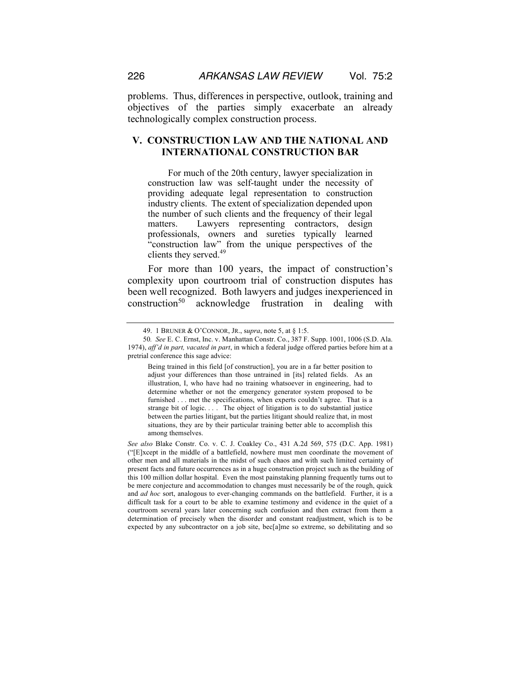problems. Thus, differences in perspective, outlook, training and objectives of the parties simply exacerbate an already technologically complex construction process.

# **V. CONSTRUCTION LAW AND THE NATIONAL AND INTERNATIONAL CONSTRUCTION BAR**

For much of the 20th century, lawyer specialization in construction law was self-taught under the necessity of providing adequate legal representation to construction industry clients. The extent of specialization depended upon the number of such clients and the frequency of their legal matters. Lawyers representing contractors, design professionals, owners and sureties typically learned "construction law" from the unique perspectives of the clients they served.<sup>49</sup>

For more than 100 years, the impact of construction's complexity upon courtroom trial of construction disputes has been well recognized. Both lawyers and judges inexperienced in construction<sup>50</sup> acknowledge frustration in dealing with

<sup>49.</sup> 1 BRUNER & O'CONNOR, JR., s*upra*, note 5, at § 1:5.

<sup>50</sup>*. See* E. C. Ernst, Inc. v. Manhattan Constr. Co., 387 F. Supp. 1001, 1006 (S.D. Ala. 1974), *aff'd in part, vacated in part*, in which a federal judge offered parties before him at a pretrial conference this sage advice:

Being trained in this field [of construction], you are in a far better position to adjust your differences than those untrained in [its] related fields. As an illustration, I, who have had no training whatsoever in engineering, had to determine whether or not the emergency generator system proposed to be furnished . . . met the specifications, when experts couldn't agree. That is a strange bit of logic. . . . The object of litigation is to do substantial justice between the parties litigant, but the parties litigant should realize that, in most situations, they are by their particular training better able to accomplish this among themselves.

*See also* Blake Constr. Co. v. C. J. Coakley Co., 431 A.2d 569, 575 (D.C. App. 1981) ("[E]xcept in the middle of a battlefield, nowhere must men coordinate the movement of other men and all materials in the midst of such chaos and with such limited certainty of present facts and future occurrences as in a huge construction project such as the building of this 100 million dollar hospital. Even the most painstaking planning frequently turns out to be mere conjecture and accommodation to changes must necessarily be of the rough, quick and *ad hoc* sort, analogous to ever-changing commands on the battlefield. Further, it is a difficult task for a court to be able to examine testimony and evidence in the quiet of a courtroom several years later concerning such confusion and then extract from them a determination of precisely when the disorder and constant readjustment, which is to be expected by any subcontractor on a job site, bec[a]me so extreme, so debilitating and so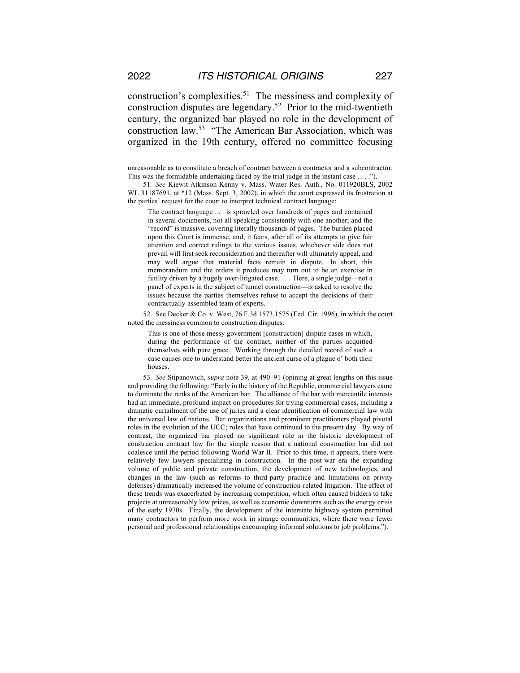construction's complexities.51 The messiness and complexity of construction disputes are legendary.52 Prior to the mid-twentieth century, the organized bar played no role in the development of construction law.53 "The American Bar Association, which was organized in the 19th century, offered no committee focusing

The contract language . . . is sprawled over hundreds of pages and contained in several documents, not all speaking consistently with one another; and the "record" is massive, covering literally thousands of pages. The burden placed upon this Court is immense, and, it fears, after all of its attempts to give fair attention and correct rulings to the various issues, whichever side does not prevail will first seek reconsideration and thereafter will ultimately appeal, and may well argue that material facts remain in dispute. In short, this memorandum and the orders it produces may turn out to be an exercise in futility driven by a hugely over-litigated case. . . . Here, a single judge—not a panel of experts in the subject of tunnel construction—is asked to resolve the issues because the parties themselves refuse to accept the decisions of their contractually assembled team of experts.

52. See Decker & Co. v. West, 76 F.3d 1573,1575 (Fed. Cir. 1996), in which the court noted the messiness common to construction disputes:

This is one of those messy government [construction] dispute cases in which, during the performance of the contract, neither of the parties acquitted themselves with pure grace. Working through the detailed record of such a case causes one to understand better the ancient curse of a plague o' both their houses.

53*. See* Stipanowich, *supra* note 39, at 490–91 (opining at great lengths on this issue and providing the following: "Early in the history of the Republic, commercial lawyers came to dominate the ranks of the American bar. The alliance of the bar with mercantile interests had an immediate, profound impact on procedures for trying commercial cases, including a dramatic curtailment of the use of juries and a clear identification of commercial law with the universal law of nations. Bar organizations and prominent practitioners played pivotal roles in the evolution of the UCC; roles that have continued to the present day. By way of contrast, the organized bar played no significant role in the historic development of construction contract law for the simple reason that a national construction bar did not coalesce until the period following World War II. Prior to this time, it appears, there were relatively few lawyers specializing in construction. In the post-war era the expanding volume of public and private construction, the development of new technologies, and changes in the law (such as reforms to third-party practice and limitations on privity defenses) dramatically increased the volume of construction-related litigation. The effect of these trends was exacerbated by increasing competition, which often caused bidders to take projects at unreasonably low prices, as well as economic downturns such as the energy crisis of the early 1970s. Finally, the development of the interstate highway system permitted many contractors to perform more work in strange communities, where there were fewer personal and professional relationships encouraging informal solutions to job problems.").

unreasonable as to constitute a breach of contract between a contractor and a subcontractor. This was the formidable undertaking faced by the trial judge in the instant case . . . .").

<sup>51</sup>*. See* Kiewit-Atkinson-Kenny v. Mass. Water Res. Auth., No. 011920BLS, 2002 WL 31187691, at \*12 (Mass. Sept. 3, 2002), in which the court expressed its frustration at the parties' request for the court to interpret technical contract language: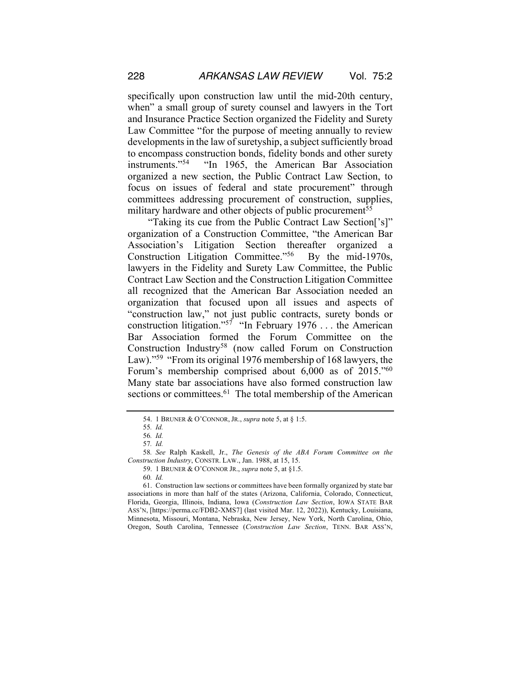specifically upon construction law until the mid-20th century, when" a small group of surety counsel and lawyers in the Tort and Insurance Practice Section organized the Fidelity and Surety Law Committee "for the purpose of meeting annually to review developments in the law of suretyship, a subject sufficiently broad to encompass construction bonds, fidelity bonds and other surety instruments."54 "In 1965, the American Bar Association organized a new section, the Public Contract Law Section, to focus on issues of federal and state procurement" through committees addressing procurement of construction, supplies, military hardware and other objects of public procurement<sup>55</sup>

"Taking its cue from the Public Contract Law Section['s]" organization of a Construction Committee, "the American Bar Association's Litigation Section thereafter organized a Construction Litigation Committee."56 By the mid-1970s, lawyers in the Fidelity and Surety Law Committee, the Public Contract Law Section and the Construction Litigation Committee all recognized that the American Bar Association needed an organization that focused upon all issues and aspects of "construction law," not just public contracts, surety bonds or construction litigation."<sup>57</sup> "In February 1976 ... the American Bar Association formed the Forum Committee on the Construction Industry58 (now called Forum on Construction Law)."<sup>59</sup> "From its original 1976 membership of 168 lawyers, the Forum's membership comprised about 6,000 as of 2015."60 Many state bar associations have also formed construction law sections or committees.<sup>61</sup> The total membership of the American

<sup>54.</sup> 1 BRUNER & O'CONNOR, JR., *supra* note 5, at § 1:5.

<sup>55</sup>*. Id.*

<sup>56</sup>*. Id.*

<sup>57</sup>*. Id.*

<sup>58</sup>*. See* Ralph Kaskell, Jr., *The Genesis of the ABA Forum Committee on the Construction Industry*, CONSTR. LAW., Jan. 1988, at 15, 15.

<sup>59.</sup> 1 BRUNER & O'CONNOR JR., *supra* note 5, at §1.5.

<sup>60</sup>*. Id.*

<sup>61.</sup> Construction law sections or committees have been formally organized by state bar associations in more than half of the states (Arizona, California, Colorado, Connecticut, Florida, Georgia, Illinois, Indiana, Iowa (*Construction Law Section*, IOWA STATE BAR ASS'N, [https://perma.cc/FDB2-XMS7] (last visited Mar. 12, 2022)), Kentucky, Louisiana, Minnesota, Missouri, Montana, Nebraska, New Jersey, New York, North Carolina, Ohio, Oregon, South Carolina, Tennessee (*Construction Law Section*, TENN. BAR ASS'N,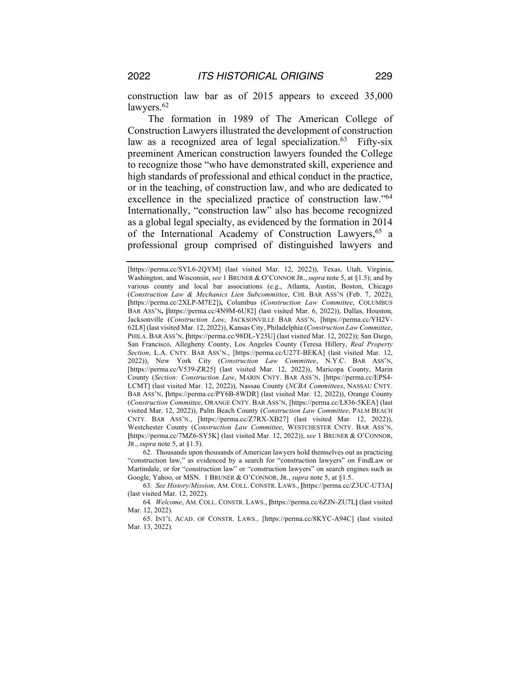construction law bar as of 2015 appears to exceed 35,000 lawyers.<sup>62</sup>

The formation in 1989 of The American College of Construction Lawyers illustrated the development of construction law as a recognized area of legal specialization.<sup>63</sup> Fifty-six preeminent American construction lawyers founded the College to recognize those "who have demonstrated skill, experience and high standards of professional and ethical conduct in the practice, or in the teaching, of construction law, and who are dedicated to excellence in the specialized practice of construction law."64 Internationally, "construction law" also has become recognized as a global legal specialty, as evidenced by the formation in 2014 of the International Academy of Construction Lawyers,<sup>65</sup> a professional group comprised of distinguished lawyers and

62. Thousands upon thousands of American lawyers hold themselves out as practicing "construction law," as evidenced by a search for "construction lawyers" on FindLaw or Martindale, or for "construction law" or "construction lawyers" on search engines such as Google, Yahoo, or MSN. 1 BRUNER & O'CONNOR, JR., *supra* note 5, at §1.5.

63*. See History/Mission*, AM. COLL. CONSTR. LAWS., **[**https://perma.cc/Z3UC-UT3A**]**  (last visited Mar. 12, 2022).

64*. Welcome*, AM. COLL. CONSTR. LAWS., **[**https://perma.cc/6ZJN-ZU7L**]** (last visited Mar. 12, 2022).

65. INT'L ACAD. OF CONSTR. LAWS., [https://perma.cc/8KYC-A94C] (last visited Mar. 13, 2022).

<sup>[</sup>https://perma.cc/SYL6-2QYM] (last visited Mar. 12, 2022)), Texas, Utah, Virginia, Washington, and Wisconsin, *see* 1 BRUNER & O'CONNOR JR., *supra* note 5, at §1.5); and by various county and local bar associations (e.g., Atlanta, Austin, Boston, Chicago (*Construction Law & Mechanics Lien Subcommittee*, CHI. BAR ASS'N (Feb. 7, 2022), **[**https://perma.cc/2XLP-M7E2])**,** Columbus (*Construction Law Committee*, COLUMBUS BAR ASS'N**, [**https://perma.cc/4N9M-6U82] (last visited Mar. 6, 2022)), Dallas, Houston, Jacksonville (*Construction Law*, JACKSONVILLE BAR ASS'N, [https://perma.cc/YH2V-62L8] (last visited Mar. 12, 2022)), Kansas City, Philadelphia (*Construction Law Committee*, PHILA. BAR ASS'N, **[**https://perma.cc/98DL-Y25U] (last visited Mar. 12, 2022)); San Diego, San Francisco, Allegheny County, Los Angeles County (Teresa Hillery, *Real Property Section*, L.A. CNTY. BAR ASS'N., [https://perma.cc/U27T-BEKA] (last visited Mar. 12, 2022)), New York City (*Construction Law Committee*, N.Y.C. BAR ASS'N, [https://perma.cc/V539-ZR25] (last visited Mar. 12, 2022)), Maricopa County, Marin County (*Section: Construction Law*, MARIN CNTY. BAR ASS'N, [https://perma.cc/EPS4- LCMT] (last visited Mar. 12, 2022)), Nassau County (*NCBA Committees*, NASSAU CNTY. BAR ASS'N, [https://perma.cc/PY6B-8WDR] (last visited Mar. 12, 2022)), Orange County (*Construction Committee*, ORANGE CNTY. BAR ASS'N, [https://perma.cc/L836-5KEA] (last visited Mar. 12, 2022)), Palm Beach County (*Construction Law Committee*, PALM BEACH CNTY. BAR ASS'N., [https://perma.cc/Z7RX-XB27] (last visited Mar. 12, 2022)), Westchester County (*Construction Law Committee*, WESTCHESTER CNTY. BAR ASS'N, **[**https://perma.cc/7MZ6-SY5K] (last visited Mar. 12, 2022)), *see* 1 BRUNER & O'CONNOR, JR., *supra* note 5, at §1.5).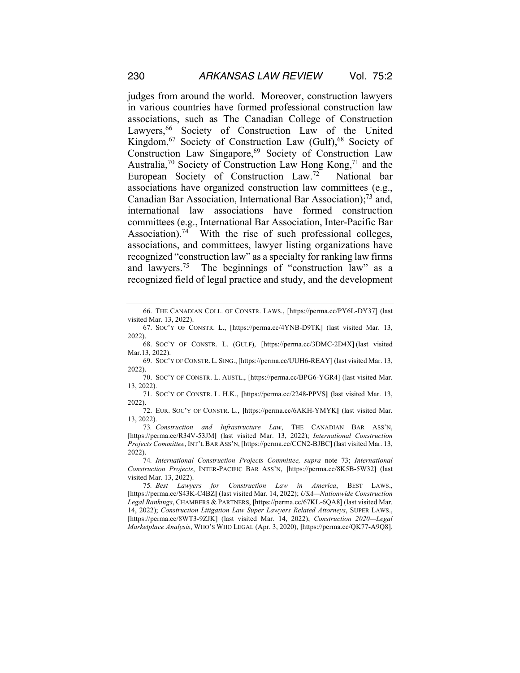judges from around the world. Moreover, construction lawyers in various countries have formed professional construction law associations, such as The Canadian College of Construction Lawyers,<sup>66</sup> Society of Construction Law of the United Kingdom,<sup>67</sup> Society of Construction Law (Gulf),<sup>68</sup> Society of Construction Law Singapore,69 Society of Construction Law Australia,<sup>70</sup> Society of Construction Law Hong Kong,<sup>71</sup> and the European Society of Construction Law.72 National bar associations have organized construction law committees (e.g., Canadian Bar Association, International Bar Association);73 and, international law associations have formed construction committees (e.g., International Bar Association, Inter-Pacific Bar Association).<sup>74</sup> With the rise of such professional colleges, associations, and committees, lawyer listing organizations have recognized "construction law" as a specialty for ranking law firms and lawyers.<sup>75</sup> The beginnings of "construction law" as a recognized field of legal practice and study, and the development

<sup>66.</sup> THE CANADIAN COLL. OF CONSTR. LAWS., [https://perma.cc/PY6L-DY37] (last visited Mar. 13, 2022).

<sup>67.</sup> SOC'Y OF CONSTR. L., [https://perma.cc/4YNB-D9TK] (last visited Mar. 13, 2022).

<sup>68.</sup> SOC'Y OF CONSTR. L. (GULF), [https://perma.cc/3DMC-2D4X] (last visited Mar.13, 2022).

<sup>69.</sup> SOC'Y OF CONSTR. L. SING., [https://perma.cc/UUH6-REAY] (last visited Mar. 13, 2022).

<sup>70.</sup> SOC'Y OF CONSTR. L. AUSTL., [https://perma.cc/BPG6-YGR4] (last visited Mar. 13, 2022).

<sup>71.</sup> SOC'Y OF CONSTR. L. H.K., **[**https://perma.cc/2248-PPVS**]** (last visited Mar. 13, 2022).

<sup>72.</sup> EUR. SOC'Y OF CONSTR. L., **[**https://perma.cc/6AKH-YMYK**]** (last visited Mar. 13, 2022).

<sup>73</sup>*. Construction and Infrastructure Law*, THE CANADIAN BAR ASS'N, **[**https://perma.cc/R34V-53JM**]** (last visited Mar. 13, 2022); *International Construction Projects Committee*, INT'L BAR ASS'N, [https://perma.cc/CCN2-BJBC] (last visited Mar. 13, 2022).

<sup>74</sup>*. International Construction Projects Committee, supra* note 73; *International Construction Projects*, INTER-PACIFIC BAR ASS'N, **[**https://perma.cc/8K5B-5W32**]** (last visited Mar. 13, 2022).

<sup>75</sup>*. Best Lawyers for Construction Law in America*, BEST LAWS., **[**https://perma.cc/S43K-C4BZ**]** (last visited Mar. 14, 2022); *USA—Nationwide Construction Legal Rankings*, CHAMBERS & PARTNERS, **[**https://perma.cc/67KL-6QA8] (last visited Mar. 14, 2022); *Construction Litigation Law Super Lawyers Related Attorneys*, SUPER LAWS., **[**https://perma.cc/8WT3-9ZJK] (last visited Mar. 14, 2022); *Construction 2020—Legal Marketplace Analysis*, WHO'S WHO LEGAL (Apr. 3, 2020), **[**https://perma.cc/QK77-A9Q8].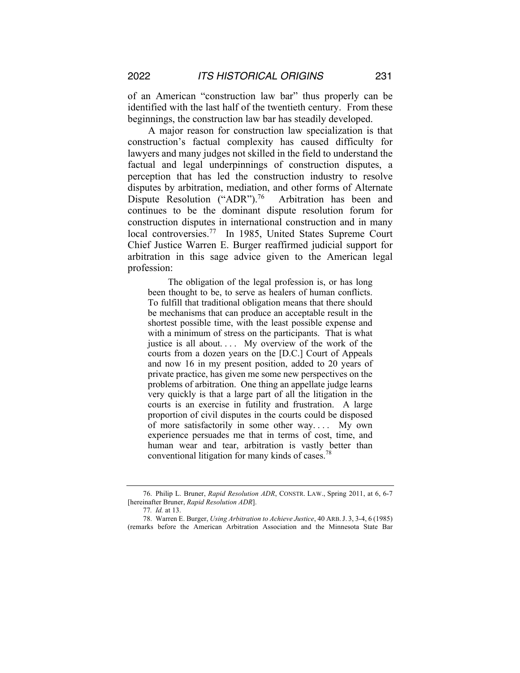of an American "construction law bar" thus properly can be identified with the last half of the twentieth century. From these beginnings, the construction law bar has steadily developed.

A major reason for construction law specialization is that construction's factual complexity has caused difficulty for lawyers and many judges not skilled in the field to understand the factual and legal underpinnings of construction disputes, a perception that has led the construction industry to resolve disputes by arbitration, mediation, and other forms of Alternate Dispute Resolution ("ADR").<sup>76</sup> Arbitration has been and continues to be the dominant dispute resolution forum for construction disputes in international construction and in many local controversies.<sup>77</sup> In 1985, United States Supreme Court Chief Justice Warren E. Burger reaffirmed judicial support for arbitration in this sage advice given to the American legal profession:

The obligation of the legal profession is, or has long been thought to be, to serve as healers of human conflicts. To fulfill that traditional obligation means that there should be mechanisms that can produce an acceptable result in the shortest possible time, with the least possible expense and with a minimum of stress on the participants. That is what justice is all about. . . .My overview of the work of the courts from a dozen years on the [D.C.] Court of Appeals and now 16 in my present position, added to 20 years of private practice, has given me some new perspectives on the problems of arbitration. One thing an appellate judge learns very quickly is that a large part of all the litigation in the courts is an exercise in futility and frustration. A large proportion of civil disputes in the courts could be disposed of more satisfactorily in some other way. . . .My own experience persuades me that in terms of cost, time, and human wear and tear, arbitration is vastly better than conventional litigation for many kinds of cases.<sup>78</sup>

<sup>76.</sup> Philip L. Bruner, *Rapid Resolution ADR*, CONSTR. LAW., Spring 2011, at 6, 6-7 [hereinafter Bruner, *Rapid Resolution ADR*].

<sup>77</sup>*. Id.* at 13.

<sup>78.</sup> Warren E. Burger, *Using Arbitration to Achieve Justice*, 40 ARB.J. 3, 3-4, 6 (1985) (remarks before the American Arbitration Association and the Minnesota State Bar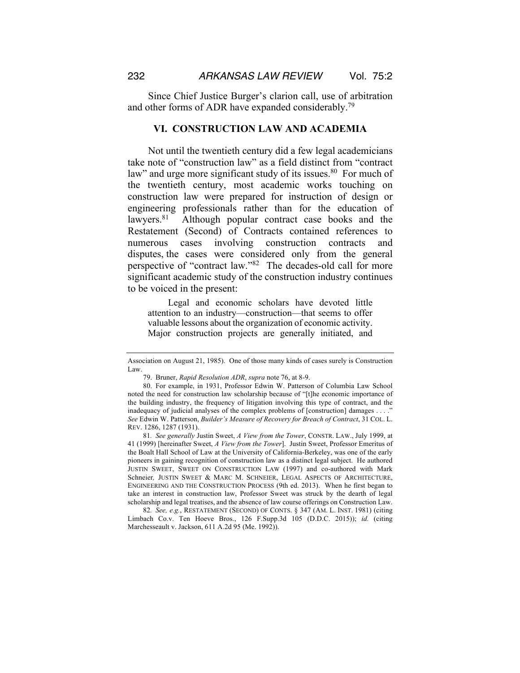Since Chief Justice Burger's clarion call, use of arbitration and other forms of ADR have expanded considerably.79

#### **VI. CONSTRUCTION LAW AND ACADEMIA**

Not until the twentieth century did a few legal academicians take note of "construction law" as a field distinct from "contract law" and urge more significant study of its issues.<sup>80</sup> For much of the twentieth century, most academic works touching on construction law were prepared for instruction of design or engineering professionals rather than for the education of lawyers.<sup>81</sup> Although popular contract case books and the Restatement (Second) of Contracts contained references to numerous cases involving construction contracts and disputes, the cases were considered only from the general perspective of "contract law."82 The decades-old call for more significant academic study of the construction industry continues to be voiced in the present:

Legal and economic scholars have devoted little attention to an industry—construction—that seems to offer valuable lessons about the organization of economic activity. Major construction projects are generally initiated, and

81*. See generally* Justin Sweet, *A View from the Tower*, CONSTR. LAW., July 1999, at 41 (1999) [hereinafter Sweet, *A View from the Tower*]. Justin Sweet, Professor Emeritus of the Boalt Hall School of Law at the University of California-Berkeley, was one of the early pioneers in gaining recognition of construction law as a distinct legal subject. He authored JUSTIN SWEET, SWEET ON CONSTRUCTION LAW (1997) and co-authored with Mark Schneier*,* JUSTIN SWEET & MARC M. SCHNEIER, LEGAL ASPECTS OF ARCHITECTURE, ENGINEERING AND THE CONSTRUCTION PROCESS (9th ed. 2013). When he first began to take an interest in construction law, Professor Sweet was struck by the dearth of legal scholarship and legal treatises, and the absence of law course offerings on Construction Law.

82*. See, e.g.*, RESTATEMENT (SECOND) OF CONTS. § 347 (AM. L. INST. 1981) (citing Limbach Co.v. Ten Hoeve Bros., 126 F.Supp.3d 105 (D.D.C. 2015)); *id.* (citing Marchesseault v. Jackson, 611 A.2d 95 (Me. 1992)).

Association on August 21, 1985). One of those many kinds of cases surely is Construction Law.

<sup>79.</sup> Bruner, *Rapid Resolution ADR*, *supra* note 76, at 8-9.

<sup>80.</sup> For example, in 1931, Professor Edwin W. Patterson of Columbia Law School noted the need for construction law scholarship because of "[t]he economic importance of the building industry, the frequency of litigation involving this type of contract, and the inadequacy of judicial analyses of the complex problems of [construction] damages . . . ." *See* Edwin W. Patterson, *Builder's Measure of Recovery for Breach of Contract*, 31 COL. L. REV. 1286, 1287 (1931).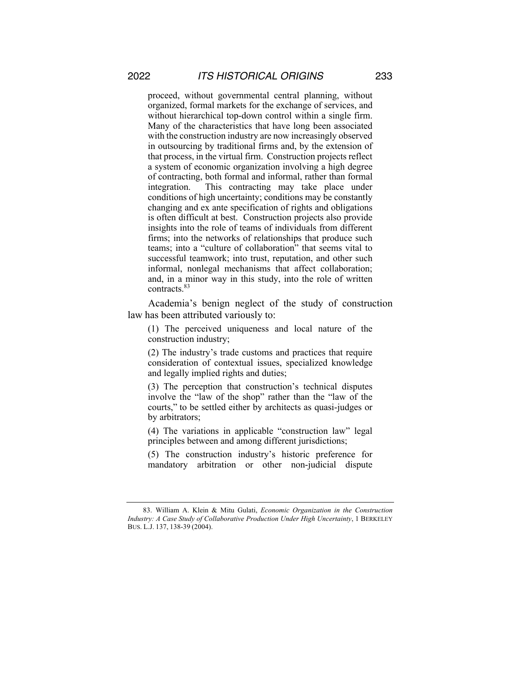proceed, without governmental central planning, without organized, formal markets for the exchange of services, and without hierarchical top-down control within a single firm. Many of the characteristics that have long been associated with the construction industry are now increasingly observed in outsourcing by traditional firms and, by the extension of that process, in the virtual firm. Construction projects reflect a system of economic organization involving a high degree of contracting, both formal and informal, rather than formal integration. This contracting may take place under conditions of high uncertainty; conditions may be constantly changing and ex ante specification of rights and obligations is often difficult at best. Construction projects also provide insights into the role of teams of individuals from different firms; into the networks of relationships that produce such teams; into a "culture of collaboration" that seems vital to successful teamwork; into trust, reputation, and other such informal, nonlegal mechanisms that affect collaboration; and, in a minor way in this study, into the role of written contracts.<sup>83</sup>

Academia's benign neglect of the study of construction law has been attributed variously to:

(1) The perceived uniqueness and local nature of the construction industry;

(2) The industry's trade customs and practices that require consideration of contextual issues, specialized knowledge and legally implied rights and duties;

(3) The perception that construction's technical disputes involve the "law of the shop" rather than the "law of the courts," to be settled either by architects as quasi-judges or by arbitrators;

(4) The variations in applicable "construction law" legal principles between and among different jurisdictions;

(5) The construction industry's historic preference for mandatory arbitration or other non-judicial dispute

<sup>83.</sup> William A. Klein & Mitu Gulati, *Economic Organization in the Construction Industry: A Case Study of Collaborative Production Under High Uncertainty*, 1 BERKELEY BUS. L.J. 137, 138-39 (2004).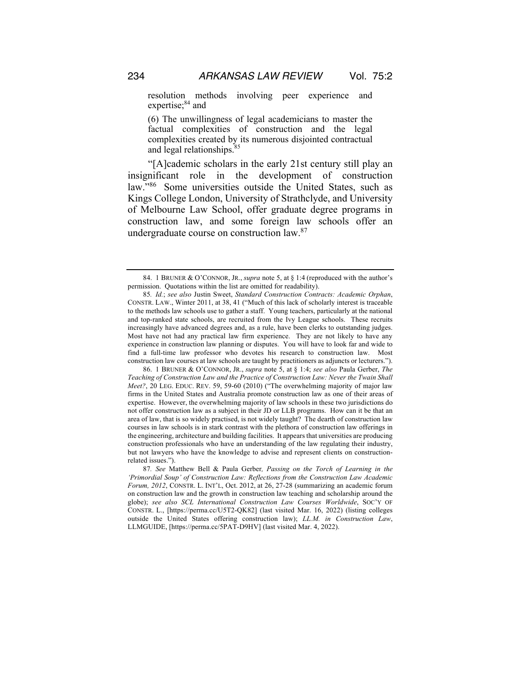resolution methods involving peer experience and expertise;<sup>84</sup> and

(6) The unwillingness of legal academicians to master the factual complexities of construction and the legal complexities created by its numerous disjointed contractual and legal relationships.<sup>85</sup>

"[A]cademic scholars in the early 21st century still play an insignificant role in the development of construction law."<sup>86</sup> Some universities outside the United States, such as Kings College London, University of Strathclyde, and University of Melbourne Law School, offer graduate degree programs in construction law, and some foreign law schools offer an undergraduate course on construction law.87

<sup>84.</sup> 1 BRUNER & O'CONNOR, JR., *supra* note 5, at § 1:4 (reproduced with the author's permission. Quotations within the list are omitted for readability).

<sup>85</sup>*. Id.*; *see also* Justin Sweet, *Standard Construction Contracts: Academic Orphan*, CONSTR. LAW., Winter 2011, at 38, 41 ("Much of this lack of scholarly interest is traceable to the methods law schools use to gather a staff. Young teachers, particularly at the national and top-ranked state schools, are recruited from the Ivy League schools. These recruits increasingly have advanced degrees and, as a rule, have been clerks to outstanding judges. Most have not had any practical law firm experience. They are not likely to have any experience in construction law planning or disputes. You will have to look far and wide to find a full-time law professor who devotes his research to construction law. Most construction law courses at law schools are taught by practitioners as adjuncts or lecturers.").

<sup>86.</sup> 1 BRUNER & O'CONNOR, JR., *supra* note 5, at § 1:4; *see also* Paula Gerber, *The Teaching of Construction Law and the Practice of Construction Law: Never the Twain Shall Meet?*, 20 LEG. EDUC. REV. 59, 59-60 (2010) ("The overwhelming majority of major law firms in the United States and Australia promote construction law as one of their areas of expertise. However, the overwhelming majority of law schools in these two jurisdictions do not offer construction law as a subject in their JD or LLB programs. How can it be that an area of law, that is so widely practised, is not widely taught? The dearth of construction law courses in law schools is in stark contrast with the plethora of construction law offerings in the engineering, architecture and building facilities. It appears that universities are producing construction professionals who have an understanding of the law regulating their industry, but not lawyers who have the knowledge to advise and represent clients on constructionrelated issues.").

<sup>87</sup>*. See* Matthew Bell & Paula Gerber*, Passing on the Torch of Learning in the 'Primordial Soup' of Construction Law: Reflections from the Construction Law Academic Forum, 2012*, CONSTR. L. INT'L, Oct. 2012, at 26, 27-28 (summarizing an academic forum on construction law and the growth in construction law teaching and scholarship around the globe); *see also SCL International Construction Law Courses Worldwide*, SOC'Y OF CONSTR. L., [https://perma.cc/U5T2-QK82] (last visited Mar. 16, 2022) (listing colleges outside the United States offering construction law); *LL.M. in Construction Law*, LLMGUIDE, [https://perma.cc/5PAT-D9HV] (last visited Mar. 4, 2022).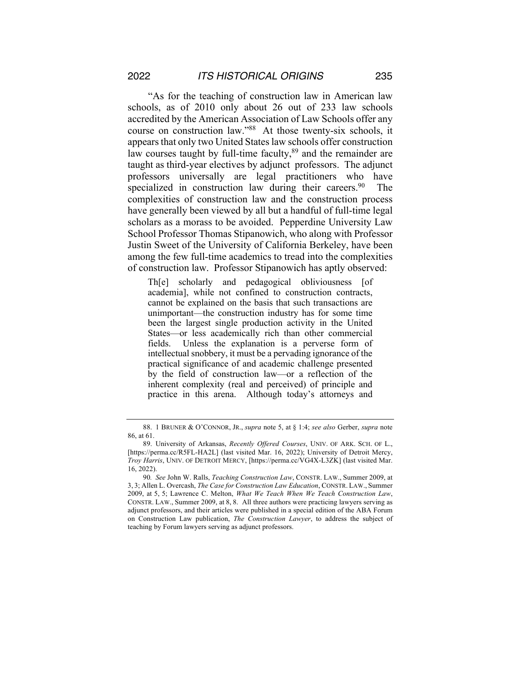"As for the teaching of construction law in American law schools, as of 2010 only about 26 out of 233 law schools accredited by the American Association of Law Schools offer any course on construction law."88 At those twenty-six schools, it appears that only two United States law schools offer construction law courses taught by full-time faculty,<sup>89</sup> and the remainder are taught as third-year electives by adjunct professors. The adjunct professors universally are legal practitioners who have specialized in construction law during their careers.<sup>90</sup> The complexities of construction law and the construction process have generally been viewed by all but a handful of full-time legal scholars as a morass to be avoided. Pepperdine University Law School Professor Thomas Stipanowich, who along with Professor Justin Sweet of the University of California Berkeley, have been among the few full-time academics to tread into the complexities of construction law. Professor Stipanowich has aptly observed:

Th[e] scholarly and pedagogical obliviousness [of academia], while not confined to construction contracts, cannot be explained on the basis that such transactions are unimportant—the construction industry has for some time been the largest single production activity in the United States—or less academically rich than other commercial fields. Unless the explanation is a perverse form of intellectual snobbery, it must be a pervading ignorance of the practical significance of and academic challenge presented by the field of construction law—or a reflection of the inherent complexity (real and perceived) of principle and practice in this arena. Although today's attorneys and

<sup>88.</sup> 1 BRUNER & O'CONNOR, JR., *supra* note 5, at § 1:4; *see also* Gerber, *supra* note 86, at 61.

<sup>89.</sup> University of Arkansas, *Recently Offered Courses*, UNIV. OF ARK. SCH. OF L., [https://perma.cc/R5FL-HA2L] (last visited Mar. 16, 2022); University of Detroit Mercy, *Troy Harris*, UNIV. OF DETROIT MERCY, [https://perma.cc/VG4X-L3ZK] (last visited Mar. 16, 2022).

<sup>90</sup>*. See* John W. Ralls, *Teaching Construction Law*, CONSTR. LAW., Summer 2009, at 3, 3; Allen L. Overcash, *The Case for Construction Law Education*, CONSTR. LAW., Summer 2009, at 5, 5; Lawrence C. Melton, *What We Teach When We Teach Construction Law*, CONSTR. LAW., Summer 2009, at 8, 8. All three authors were practicing lawyers serving as adjunct professors, and their articles were published in a special edition of the ABA Forum on Construction Law publication, *The Construction Lawyer*, to address the subject of teaching by Forum lawyers serving as adjunct professors.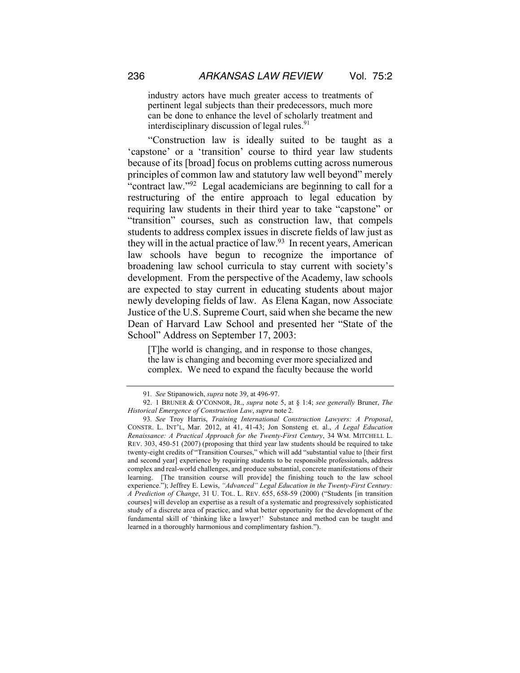industry actors have much greater access to treatments of pertinent legal subjects than their predecessors, much more can be done to enhance the level of scholarly treatment and interdisciplinary discussion of legal rules.<sup>91</sup>

"Construction law is ideally suited to be taught as a 'capstone' or a 'transition' course to third year law students because of its [broad] focus on problems cutting across numerous principles of common law and statutory law well beyond" merely "contract law."92 Legal academicians are beginning to call for a restructuring of the entire approach to legal education by requiring law students in their third year to take "capstone" or "transition" courses, such as construction law, that compels students to address complex issues in discrete fields of law just as they will in the actual practice of law.<sup>93</sup> In recent years, American law schools have begun to recognize the importance of broadening law school curricula to stay current with society's development. From the perspective of the Academy, law schools are expected to stay current in educating students about major newly developing fields of law. As Elena Kagan, now Associate Justice of the U.S. Supreme Court, said when she became the new Dean of Harvard Law School and presented her "State of the School" Address on September 17, 2003:

[T]he world is changing, and in response to those changes, the law is changing and becoming ever more specialized and complex. We need to expand the faculty because the world

<sup>91</sup>*. See* Stipanowich, *supra* note 39, at 496-97.

<sup>92.</sup> 1 BRUNER & O'CONNOR, JR., *supra* note 5, at § 1:4; *see generally* Bruner, *The Historical Emergence of Construction Law*, *supra* note 2.

<sup>93</sup>*. See* Troy Harris, *Training International Construction Lawyers: A Proposal*, CONSTR. L. INT'L, Mar. 2012, at 41, 41-43; Jon Sonsteng et. al., *A Legal Education Renaissance: A Practical Approach for the Twenty-First Century*, 34 WM. MITCHELL L. REV. 303, 450-51 (2007) (proposing that third year law students should be required to take twenty-eight credits of "Transition Courses," which will add "substantial value to [their first and second year] experience by requiring students to be responsible professionals, address complex and real-world challenges, and produce substantial, concrete manifestations of their learning. [The transition course will provide] the finishing touch to the law school experience."); Jeffrey E. Lewis, *"Advanced" Legal Education in the Twenty-First Century: A Prediction of Change*, 31 U. TOL. L. REV. 655, 658-59 (2000) ("Students [in transition courses] will develop an expertise as a result of a systematic and progressively sophisticated study of a discrete area of practice, and what better opportunity for the development of the fundamental skill of 'thinking like a lawyer!' Substance and method can be taught and learned in a thoroughly harmonious and complimentary fashion.").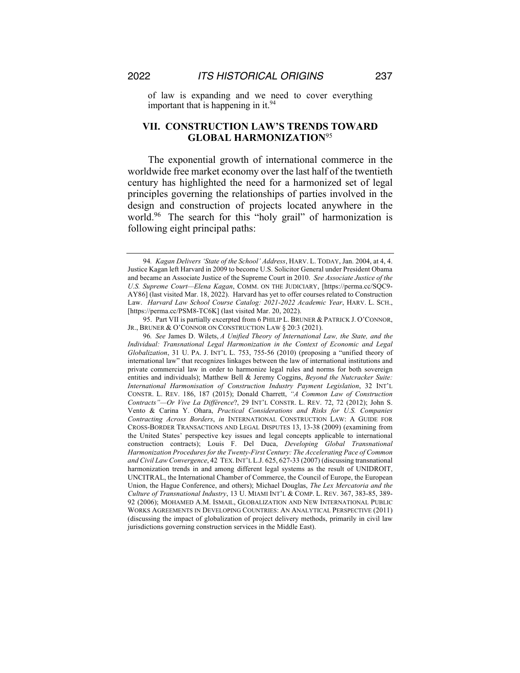of law is expanding and we need to cover everything important that is happening in it.  $94$ 

## **VII. CONSTRUCTION LAW'S TRENDS TOWARD GLOBAL HARMONIZATION**<sup>95</sup>

The exponential growth of international commerce in the worldwide free market economy over the last half of the twentieth century has highlighted the need for a harmonized set of legal principles governing the relationships of parties involved in the design and construction of projects located anywhere in the world.<sup>96</sup> The search for this "holy grail" of harmonization is following eight principal paths:

95. Part VII is partially excerpted from 6 PHILIP L. BRUNER & PATRICK J. O'CONNOR, JR., BRUNER & O'CONNOR ON CONSTRUCTION LAW § 20:3 (2021).

<sup>94</sup>*. Kagan Delivers 'State of the School' Address*, HARV. L. TODAY, Jan. 2004, at 4, 4. Justice Kagan left Harvard in 2009 to become U.S. Solicitor General under President Obama and became an Associate Justice of the Supreme Court in 2010. *See Associate Justice of the U.S. Supreme Court—Elena Kagan*, COMM. ON THE JUDICIARY, [https://perma.cc/SQC9- AY86] (last visited Mar. 18, 2022). Harvard has yet to offer courses related to Construction Law. *Harvard Law School Course Catalog: 2021-2022 Academic Year*, HARV. L. SCH., [https://perma.cc/PSM8-TC6K] (last visited Mar. 20, 2022).

<sup>96</sup>*. See* James D. Wilets, *A Unified Theory of International Law, the State, and the Individual: Transnational Legal Harmonization in the Context of Economic and Legal Globalization*, 31 U. PA. J. INT'L L. 753, 755-56 (2010) (proposing a "unified theory of international law" that recognizes linkages between the law of international institutions and private commercial law in order to harmonize legal rules and norms for both sovereign entities and individuals); Matthew Bell & Jeremy Coggins, *Beyond the Nutcracker Suite: International Harmonisation of Construction Industry Payment Legislation*, 32 INT'L CONSTR. L. REV. 186, 187 (2015); Donald Charrett, *"A Common Law of Construction Contracts"—Or Vive La Différence*?, 29 INT'L CONSTR. L. REV. 72, 72 (2012); John S. Vento & Carina Y. Ohara, *Practical Considerations and Risks for U.S. Companies Contracting Across Borders*, *in* INTERNATIONAL CONSTRUCTION LAW: A GUIDE FOR CROSS-BORDER TRANSACTIONS AND LEGAL DISPUTES 13, 13-38 (2009) (examining from the United States' perspective key issues and legal concepts applicable to international construction contracts); Louis F. Del Duca, *Developing Global Transnational Harmonization Procedures for the Twenty-First Century: The Accelerating Pace of Common and Civil Law Convergence*, 42 TEX.INT'L L.J. 625, 627-33 (2007) (discussing transnational harmonization trends in and among different legal systems as the result of UNIDROIT, UNCITRAL, the International Chamber of Commerce, the Council of Europe, the European Union, the Hague Conference, and others); Michael Douglas, *The Lex Mercatoria and the Culture of Transnational Industry*, 13 U. MIAMI INT'L & COMP. L. REV. 367, 383-85, 389- 92 (2006); MOHAMED A.M. ISMAIL, GLOBALIZATION AND NEW INTERNATIONAL PUBLIC WORKS AGREEMENTS IN DEVELOPING COUNTRIES: AN ANALYTICAL PERSPECTIVE (2011) (discussing the impact of globalization of project delivery methods, primarily in civil law jurisdictions governing construction services in the Middle East).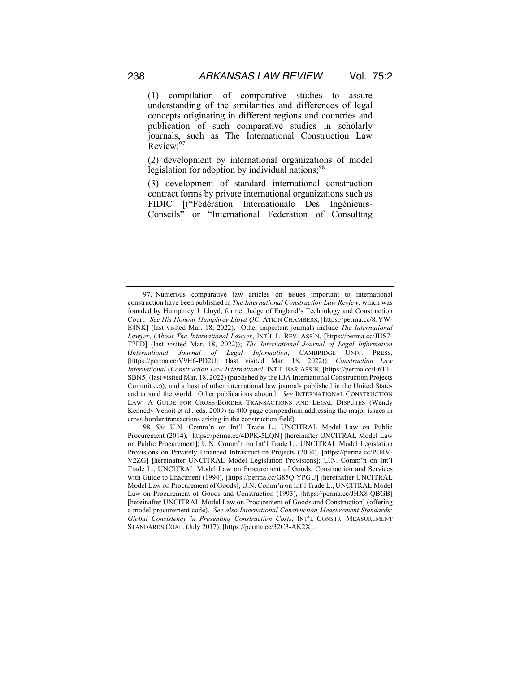(1) compilation of comparative studies to assure understanding of the similarities and differences of legal concepts originating in different regions and countries and publication of such comparative studies in scholarly journals, such as The International Construction Law Review;<sup>97</sup>

(2) development by international organizations of model legislation for adoption by individual nations;  $98$ 

(3) development of standard international construction contract forms by private international organizations such as FIDIC [("Fédération Internationale Des Ingénieurs-Conseils" or "International Federation of Consulting

<sup>97.</sup> Numerous comparative law articles on issues important to international construction have been published in *The International Construction Law Review,* which was founded by Humphrey J. Lloyd, former Judge of England's Technology and Construction Court. *See His Honour Humphrey Lloyd QC*, ATKIN CHAMBERS, [https://perma.cc/8JYW-E4NK] (last visited Mar. 18, 2022). Other important journals include *The International Lawyer*, (*About The International Lawyer*, INT'L L. REV. ASS'N, [https://perma.cc/JHS7- T7FD] (last visited Mar. 18, 2022)); *The International Journal of Legal Information*  (*International Journal of Legal Information*, CAMBRIDGE UNIV. PRESS, **[**https://perma.cc/V9H6-PD2U] (last visited Mar. 18, 2022)); *Construction Law International* (*Construction Law International*, INT'L BAR ASS'N, [https://perma.cc/E6TT-SBN5] (last visited Mar. 18, 2022) (published by the IBA International Construction Projects Committee)); and a host of other international law journals published in the United States and around the world. Other publications abound. *See* INTERNATIONAL CONSTRUCTION LAW: A GUIDE FOR CROSS-BORDER TRANSACTIONS AND LEGAL DISPUTES (Wendy Kennedy Venoit et al., eds. 2009) (a 400-page compendium addressing the major issues in cross-border transactions arising in the construction field).

<sup>98</sup>*. See* U.N. Comm'n on Int'l Trade L., UNCITRAL Model Law on Public Procurement (2014), [https://perma.cc/4DPK-5LQN] [hereinafter UNCITRAL Model Law on Public Procurement]; U.N. Comm'n on Int'l Trade L., UNCITRAL Model Legislation Provisions on Privately Financed Infrastructure Projects (2004), **[**https://perma.cc/PU4V-V2ZG] [hereinafter UNCITRAL Model Legislation Provisions]; U.N. Comm'n on Int'l Trade L., UNCITRAL Model Law on Procurement of Goods, Construction and Services with Guide to Enactment (1994), [https://perma.cc/G85Q-YPGU] [hereinafter UNCITRAL Model Law on Procurement of Goods]; U.N. Comm'n on Int'l Trade L., UNCITRAL Model Law on Procurement of Goods and Construction (1993), [https://perma.cc/JHX8-QBGB] [hereinafter UNCITRAL Model Law on Procurement of Goods and Construction] (offering a model procurement code). *See also International Construction Measurement Standards: Global Consistency in Presenting Construction Costs*, INT'L CONSTR. MEASUREMENT STANDARDS COAL. (July 2017), **[**https://perma.cc/32C3-AK2X].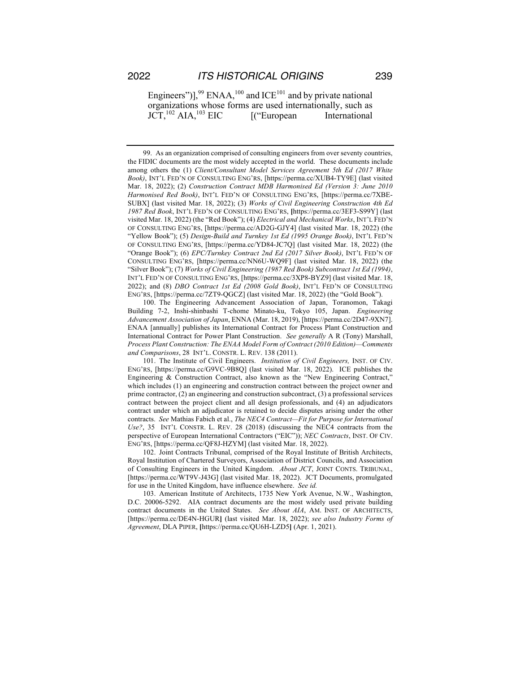Engineers")],<sup>99</sup> ENAA,<sup>100</sup> and ICE<sup>101</sup> and by private national organizations whose forms are used internationally, such as  $JCT$ ,<sup>102</sup> AIA,<sup>103</sup> EIC [("European International

99. As an organization comprised of consulting engineers from over seventy countries, the FIDIC documents are the most widely accepted in the world. These documents include among others the (1) *Client/Consultant Model Services Agreement 5th Ed (2017 White Book)*, INT'L FED'N OF CONSULTING ENG'RS, [https://perma.cc/XUB4-TY9E] (last visited Mar. 18, 2022); (2) *Construction Contract MDB Harmonised Ed (Version 3: June 2010 Harmonised Red Book)*, INT'L FED'N OF CONSULTING ENG'RS, [https://perma.cc/7XBE-SUBX] (last visited Mar. 18, 2022); (3) *Works of Civil Engineering Construction 4th Ed 1987 Red Book*, INT'L FED'N OF CONSULTING ENG'RS, **[**https://perma.cc/3EF3-S99Y] (last visited Mar. 18, 2022) (the "Red Book"); (4) *Electrical and Mechanical Works*, INT'L FED'N OF CONSULTING ENG'RS, [https://perma.cc/AD2G-GJY4] (last visited Mar. 18, 2022) (the "Yellow Book"); (5) *Design-Build and Turnkey 1st Ed (1995 Orange Book)*, INT'L FED'N OF CONSULTING ENG'RS, [https://perma.cc/YD84-JC7Q] (last visited Mar. 18, 2022) (the "Orange Book"); (6) *EPC/Turnkey Contract 2nd Ed (2017 Silver Book)*, INT'L FED'N OF CONSULTING ENG'RS, [https://perma.cc/NN6U-WQ9F] (last visited Mar. 18, 2022) (the "Silver Book"); (7) *Works of Civil Engineering (1987 Red Book) Subcontract 1st Ed (1994)*, INT'L FED'N OF CONSULTING ENG'RS, [https://perma.cc/3XP8-BYZ9] (last visited Mar. 18, 2022); and (8) *DBO Contract 1st Ed (2008 Gold Book)*, INT'L FED'N OF CONSULTING ENG'RS, [https://perma.cc/7ZT9-QGCZ] (last visited Mar. 18, 2022) (the "Gold Book").

100. The Engineering Advancement Association of Japan, Toranomon, Takagi Building 7-2, Inshi-shinbashi T-chome Minato-ku, Tokyo 105, Japan. *Engineering Advancement Association of Japan*, ENNA (Mar. 18, 2019), [https://perma.cc/2D47-9XN7]. ENAA [annually] publishes its International Contract for Process Plant Construction and International Contract for Power Plant Construction. *See generally* A R (Tony) Marshall, *Process Plant Construction: The ENAA Model Form of Contract (2010 Edition)—Comments and Comparisons*, 28 INT'L. CONSTR. L. REV. 138 (2011).

101. The Institute of Civil Engineers. *Institution of Civil Engineers,* INST. OF CIV. ENG'RS, [https://perma.cc/G9VC-9B8Q] (last visited Mar. 18, 2022). ICE publishes the Engineering & Construction Contract, also known as the "New Engineering Contract," which includes (1) an engineering and construction contract between the project owner and prime contractor, (2) an engineering and construction subcontract, (3) a professional services contract between the project client and all design professionals, and (4) an adjudicators contract under which an adjudicator is retained to decide disputes arising under the other contracts. *See* Mathias Fabich et al., *The NEC4 Contract—Fit for Purpose for International Use?*, 35 INT'L CONSTR. L. REV. 28 (2018) (discussing the NEC4 contracts from the perspective of European International Contractors ("EIC")); *NEC Contracts*, INST. OF CIV. ENG'RS, [https://perma.cc/QF8J-HZYM] (last visited Mar. 18, 2022).

102. Joint Contracts Tribunal, comprised of the Royal Institute of British Architects, Royal Institution of Chartered Surveyors, Association of District Councils, and Association of Consulting Engineers in the United Kingdom. *About JCT*, JOINT CONTS. TRIBUNAL, [https://perma.cc/WT9V-J43G] (last visited Mar. 18, 2022). JCT Documents, promulgated for use in the United Kingdom, have influence elsewhere. *See id.* 

103. American Institute of Architects, 1735 New York Avenue, N.W., Washington, D.C. 20006-5292. AIA contract documents are the most widely used private building contract documents in the United States. *See About AIA*, AM. INST. OF ARCHITECTS, [https://perma.cc/DE4N-HGUR**]** (last visited Mar. 18, 2022); *see also Industry Forms of Agreement*, DLA PIPER, **[**https://perma.cc/QU6H-LZD5**]** (Apr. 1, 2021).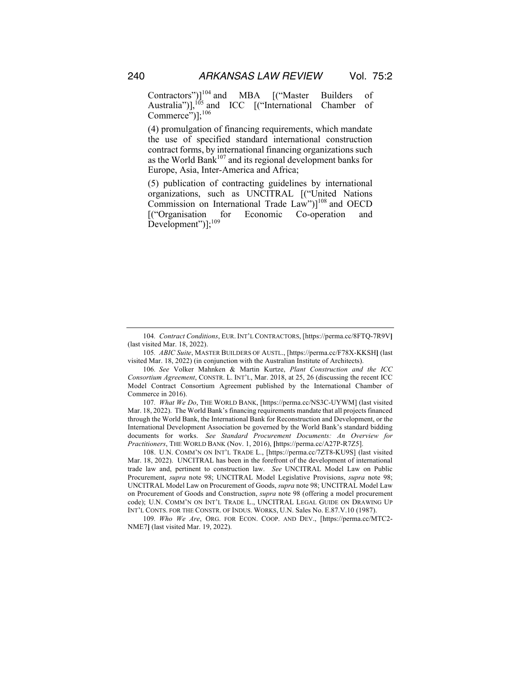Contractors")]<sup>104</sup> and MBA [("Master Builders of Australia")], $^{105}$  and ICC [("International Chamber of  $Commerce$ ")];<sup>106</sup>

(4) promulgation of financing requirements, which mandate the use of specified standard international construction contract forms, by international financing organizations such as the World Bank<sup>107</sup> and its regional development banks for Europe, Asia, Inter-America and Africa;

(5) publication of contracting guidelines by international organizations, such as UNCITRAL [("United Nations Commission on International Trade Law") $]^{108}$  and OECD [("Organisation for Economic Co-operation and Development")];<sup>109</sup>

105*. ABIC Suite*, MASTER BUILDERS OF AUSTL., [https://perma.cc/F78X-KKSH**]** (last visited Mar. 18, 2022) (in conjunction with the Australian Institute of Architects).

107*. What We Do*, THE WORLD BANK, [https://perma.cc/NS3C-UYWM] (last visited Mar. 18, 2022). The World Bank's financing requirements mandate that all projects financed through the World Bank, the International Bank for Reconstruction and Development, or the International Development Association be governed by the World Bank's standard bidding documents for works. *See Standard Procurement Documents: An Overview for Practitioners*, THE WORLD BANK (Nov. 1, 2016), **[**https://perma.cc/A27P-R7Z5].

108. U.N. COMM'N ON INT'L TRADE L., [https://perma.cc/7ZT8-KU9S] (last visited Mar. 18, 2022). UNCITRAL has been in the forefront of the development of international trade law and, pertinent to construction law. *See* UNCITRAL Model Law on Public Procurement, *supra* note 98; UNCITRAL Model Legislative Provisions, *supra* note 98; UNCITRAL Model Law on Procurement of Goods, *supra* note 98; UNCITRAL Model Law on Procurement of Goods and Construction, *supra* note 98 (offering a model procurement code); U.N. COMM'N ON INT'L TRADE L., UNCITRAL LEGAL GUIDE ON DRAWING UP INT'L CONTS. FOR THE CONSTR. OF INDUS. WORKS, U.N. Sales No. E.87.V.10 (1987).

109*. Who We Are*, ORG. FOR ECON. COOP. AND DEV., [https://perma.cc/MTC2- NME7**]** (last visited Mar. 19, 2022).

<sup>104</sup>*. Contract Conditions*, EUR. INT'L CONTRACTORS, [https://perma.cc/8FTQ-7R9V**]**  (last visited Mar. 18, 2022).

<sup>106</sup>*. See* Volker Mahnken & Martin Kurtze, *Plant Construction and the ICC Consortium Agreement*, CONSTR. L. INT'L, Mar. 2018, at 25, 26 (discussing the recent ICC Model Contract Consortium Agreement published by the International Chamber of Commerce in 2016).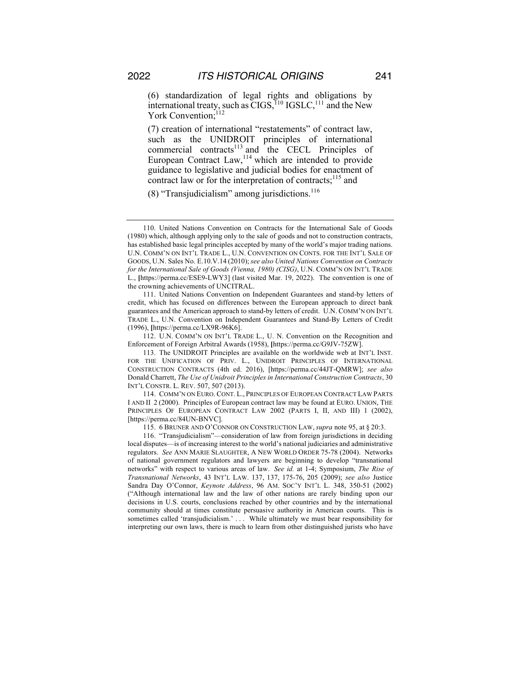(6) standardization of legal rights and obligations by international treaty, such as  $\widetilde{CIGS}$ ,  $^{110}$  IGSLC,  $^{111}$  and the New York Convention:<sup>112</sup>

(7) creation of international "restatements" of contract law, such as the UNIDROIT principles of international commercial contracts<sup>113</sup> and the CECL Principles of European Contract  $Law<sub>114</sub>$  which are intended to provide guidance to legislative and judicial bodies for enactment of contract law or for the interpretation of contracts; $^{115}$  and

(8) "Transjudicialism" among jurisdictions. $116$ 

112. U.N. COMM'N ON INT'L TRADE L., U. N. Convention on the Recognition and Enforcement of Foreign Arbitral Awards (1958), **[**https://perma.cc/G9JV-75ZW].

113. The UNIDROIT Principles are available on the worldwide web at INT'L INST. FOR THE UNIFICATION OF PRIV. L., UNIDROIT PRINCIPLES OF INTERNATIONAL CONSTRUCTION CONTRACTS (4th ed. 2016), [https://perma.cc/44JT-QMRW]; *see also* Donald Charrett, *The Use of Unidroit Principles in International Construction Contracts*, 30 INT'L CONSTR. L. REV. 507, 507 (2013).

114. COMM'N ON EURO. CONT. L., PRINCIPLES OF EUROPEAN CONTRACT LAW PARTS I AND II 2 (2000). Principles of European contract law may be found at EURO. UNION, THE PRINCIPLES OF EUROPEAN CONTRACT LAW 2002 (PARTS I, II, AND III) 1 (2002), [https://perma.cc/84UN-BNVC].

115. 6 BRUNER AND O'CONNOR ON CONSTRUCTION LAW, *supra* note 95, at § 20:3.

116. "Transjudicialism"—consideration of law from foreign jurisdictions in deciding local disputes—is of increasing interest to the world's national judiciaries and administrative regulators. *See* ANN MARIE SLAUGHTER, A NEW WORLD ORDER 75-78 (2004). Networks of national government regulators and lawyers are beginning to develop "transnational networks" with respect to various areas of law. *See id.* at 1-4; Symposium, *The Rise of Transnational Networks*, 43 INT'L LAW. 137, 137, 175-76, 205 (2009); *see also* Justice Sandra Day O'Connor, *Keynote Address*, 96 AM. SOC'Y INT'L L. 348, 350-51 (2002) ("Although international law and the law of other nations are rarely binding upon our decisions in U.S. courts, conclusions reached by other countries and by the international community should at times constitute persuasive authority in American courts. This is sometimes called 'transjudicialism.' . . . While ultimately we must bear responsibility for interpreting our own laws, there is much to learn from other distinguished jurists who have

<sup>110.</sup> United Nations Convention on Contracts for the International Sale of Goods (1980) which, although applying only to the sale of goods and not to construction contracts, has established basic legal principles accepted by many of the world's major trading nations. U.N. COMM'N ON INT'L TRADE L., U.N. CONVENTION ON CONTS. FOR THE INT'L SALE OF GOODS, U.N. Sales No. E.10.V.14 (2010); *see also United Nations Convention on Contracts for the International Sale of Goods (Vienna, 1980) (CISG)*, U.N. COMM'N ON INT'L TRADE L., **[**https://perma.cc/ESE9-LWY3] (last visited Mar. 19, 2022). The convention is one of the crowning achievements of UNCITRAL.

<sup>111.</sup> United Nations Convention on Independent Guarantees and stand-by letters of credit, which has focused on differences between the European approach to direct bank guarantees and the American approach to stand-by letters of credit. U.N. COMM'N ON INT'L TRADE L., U.N. Convention on Independent Guarantees and Stand-By Letters of Credit (1996), **[**https://perma.cc/LX9R-96K6].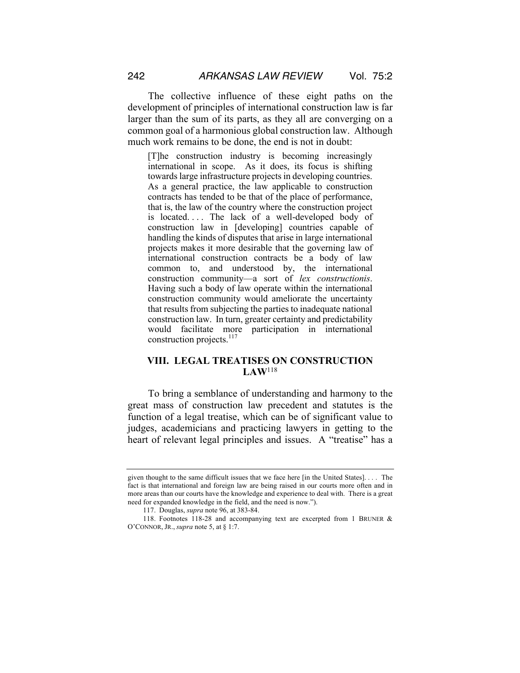The collective influence of these eight paths on the development of principles of international construction law is far larger than the sum of its parts, as they all are converging on a common goal of a harmonious global construction law. Although much work remains to be done, the end is not in doubt:

[T]he construction industry is becoming increasingly international in scope. As it does, its focus is shifting towards large infrastructure projects in developing countries. As a general practice, the law applicable to construction contracts has tended to be that of the place of performance, that is, the law of the country where the construction project is located. . . . The lack of a well-developed body of construction law in [developing] countries capable of handling the kinds of disputes that arise in large international projects makes it more desirable that the governing law of international construction contracts be a body of law common to, and understood by, the international construction community—a sort of *lex constructionis*. Having such a body of law operate within the international construction community would ameliorate the uncertainty that results from subjecting the parties to inadequate national construction law. In turn, greater certainty and predictability would facilitate more participation in international construction projects.<sup>117</sup>

## **VIII. LEGAL TREATISES ON CONSTRUCTION LAW**<sup>118</sup>

To bring a semblance of understanding and harmony to the great mass of construction law precedent and statutes is the function of a legal treatise, which can be of significant value to judges, academicians and practicing lawyers in getting to the heart of relevant legal principles and issues. A "treatise" has a

given thought to the same difficult issues that we face here [in the United States]. . . . The fact is that international and foreign law are being raised in our courts more often and in more areas than our courts have the knowledge and experience to deal with. There is a great need for expanded knowledge in the field, and the need is now.").

<sup>117.</sup> Douglas, *supra* note 96, at 383-84.

<sup>118.</sup> Footnotes 118-28 and accompanying text are excerpted from 1 BRUNER & O'CONNOR, JR., *supra* note 5, at § 1:7.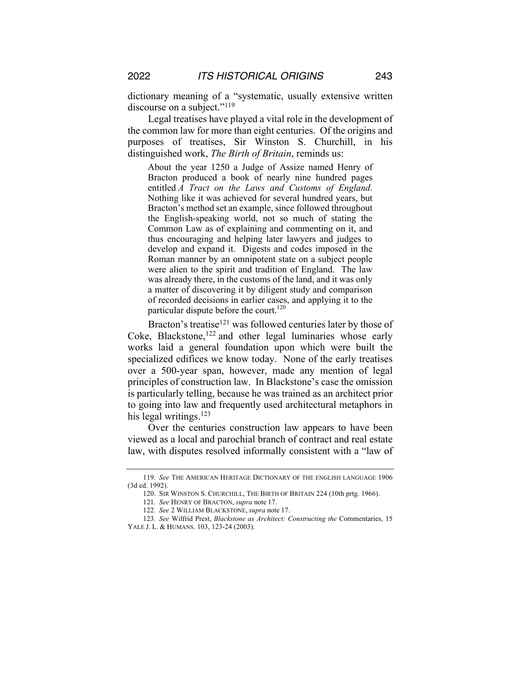dictionary meaning of a "systematic, usually extensive written discourse on a subject."<sup>119</sup>

Legal treatises have played a vital role in the development of the common law for more than eight centuries. Of the origins and purposes of treatises, Sir Winston S. Churchill, in his distinguished work, *The Birth of Britain*, reminds us:

About the year 1250 a Judge of Assize named Henry of Bracton produced a book of nearly nine hundred pages entitled *A Tract on the Laws and Customs of England*. Nothing like it was achieved for several hundred years, but Bracton's method set an example, since followed throughout the English-speaking world, not so much of stating the Common Law as of explaining and commenting on it, and thus encouraging and helping later lawyers and judges to develop and expand it. Digests and codes imposed in the Roman manner by an omnipotent state on a subject people were alien to the spirit and tradition of England. The law was already there, in the customs of the land, and it was only a matter of discovering it by diligent study and comparison of recorded decisions in earlier cases, and applying it to the particular dispute before the court.<sup>120</sup>

Bracton's treatise<sup>121</sup> was followed centuries later by those of Coke, Blackstone, $122$  and other legal luminaries whose early works laid a general foundation upon which were built the specialized edifices we know today. None of the early treatises over a 500-year span, however, made any mention of legal principles of construction law. In Blackstone's case the omission is particularly telling, because he was trained as an architect prior to going into law and frequently used architectural metaphors in his legal writings.<sup>123</sup>

Over the centuries construction law appears to have been viewed as a local and parochial branch of contract and real estate law, with disputes resolved informally consistent with a "law of

<sup>119</sup>*. See* THE AMERICAN HERITAGE DICTIONARY OF THE ENGLISH LANGUAGE 1906 (3d ed. 1992).

<sup>120.</sup> SIR WINSTON S. CHURCHILL, THE BIRTH OF BRITAIN 224 (10th prtg. 1966).

<sup>121</sup>*. See* HENRY OF BRACTON, *supra* note 17.

<sup>122</sup>*. See* 2 WILLIAM BLACKSTONE, *supra* note 17.

<sup>123</sup>*. See* Wilfrid Prest, *Blackstone as Architect: Constructing the* Commentaries, 15 YALE J. L. & HUMANS. 103, 123-24 (2003).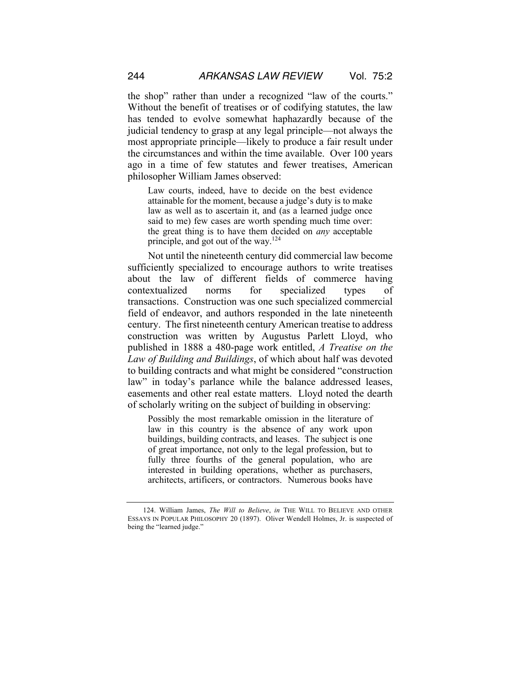the shop" rather than under a recognized "law of the courts." Without the benefit of treatises or of codifying statutes, the law has tended to evolve somewhat haphazardly because of the judicial tendency to grasp at any legal principle—not always the most appropriate principle—likely to produce a fair result under the circumstances and within the time available. Over 100 years ago in a time of few statutes and fewer treatises, American philosopher William James observed:

Law courts, indeed, have to decide on the best evidence attainable for the moment, because a judge's duty is to make law as well as to ascertain it, and (as a learned judge once said to me) few cases are worth spending much time over: the great thing is to have them decided on *any* acceptable principle, and got out of the way.<sup>124</sup>

Not until the nineteenth century did commercial law become sufficiently specialized to encourage authors to write treatises about the law of different fields of commerce having contextualized norms for specialized types of transactions. Construction was one such specialized commercial field of endeavor, and authors responded in the late nineteenth century. The first nineteenth century American treatise to address construction was written by Augustus Parlett Lloyd, who published in 1888 a 480-page work entitled, *A Treatise on the Law of Building and Buildings*, of which about half was devoted to building contracts and what might be considered "construction law" in today's parlance while the balance addressed leases, easements and other real estate matters. Lloyd noted the dearth of scholarly writing on the subject of building in observing:

Possibly the most remarkable omission in the literature of law in this country is the absence of any work upon buildings, building contracts, and leases. The subject is one of great importance, not only to the legal profession, but to fully three fourths of the general population, who are interested in building operations, whether as purchasers, architects, artificers, or contractors. Numerous books have

<sup>124.</sup> William James, *The Will to Believe*, *in* THE WILL TO BELIEVE AND OTHER ESSAYS IN POPULAR PHILOSOPHY 20 (1897). Oliver Wendell Holmes, Jr. is suspected of being the "learned judge."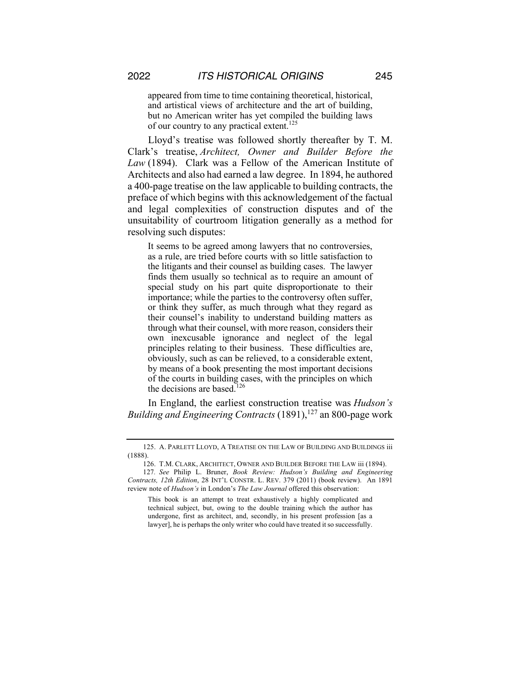appeared from time to time containing theoretical, historical, and artistical views of architecture and the art of building, but no American writer has yet compiled the building laws of our country to any practical extent.<sup>125</sup>

Lloyd's treatise was followed shortly thereafter by T. M. Clark's treatise, *Architect, Owner and Builder Before the Law* (1894). Clark was a Fellow of the American Institute of Architects and also had earned a law degree. In 1894, he authored a 400-page treatise on the law applicable to building contracts, the preface of which begins with this acknowledgement of the factual and legal complexities of construction disputes and of the unsuitability of courtroom litigation generally as a method for resolving such disputes:

It seems to be agreed among lawyers that no controversies, as a rule, are tried before courts with so little satisfaction to the litigants and their counsel as building cases. The lawyer finds them usually so technical as to require an amount of special study on his part quite disproportionate to their importance; while the parties to the controversy often suffer, or think they suffer, as much through what they regard as their counsel's inability to understand building matters as through what their counsel, with more reason, considers their own inexcusable ignorance and neglect of the legal principles relating to their business. These difficulties are, obviously, such as can be relieved, to a considerable extent, by means of a book presenting the most important decisions of the courts in building cases, with the principles on which the decisions are based.<sup>126</sup>

In England, the earliest construction treatise was *Hudson's Building and Engineering Contracts* (1891),<sup>127</sup> an 800-page work

<sup>125.</sup> A. PARLETT LLOYD, A TREATISE ON THE LAW OF BUILDING AND BUILDINGS iii (1888).

<sup>126.</sup> T.M. CLARK, ARCHITECT, OWNER AND BUILDER BEFORE THE LAW iii (1894).

<sup>127</sup>*. See* Philip L. Bruner, *Book Review: Hudson's Building and Engineering Contracts, 12th Edition*, 28 INT'L CONSTR. L. REV. 379 (2011) (book review). An 1891 review note of *Hudson's* in London's *The Law Journal* offered this observation:

This book is an attempt to treat exhaustively a highly complicated and technical subject, but, owing to the double training which the author has undergone, first as architect, and, secondly, in his present profession [as a lawyer], he is perhaps the only writer who could have treated it so successfully.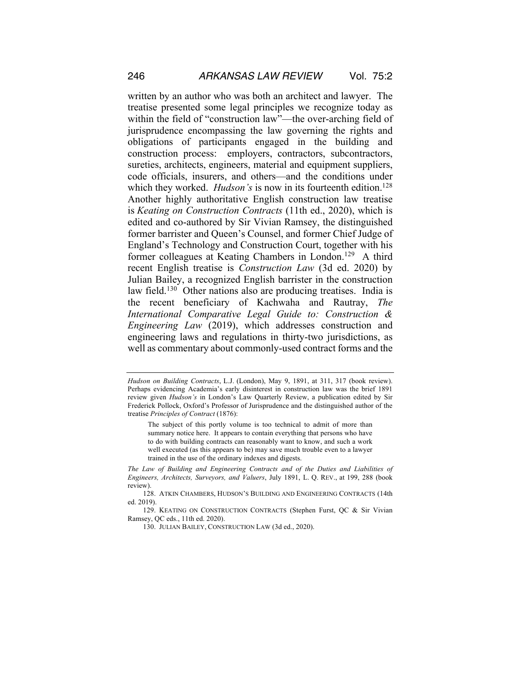written by an author who was both an architect and lawyer. The treatise presented some legal principles we recognize today as within the field of "construction law"—the over-arching field of jurisprudence encompassing the law governing the rights and obligations of participants engaged in the building and construction process: employers, contractors, subcontractors, sureties, architects, engineers, material and equipment suppliers, code officials, insurers, and others—and the conditions under which they worked. *Hudson's* is now in its fourteenth edition.<sup>128</sup> Another highly authoritative English construction law treatise is *Keating on Construction Contracts* (11th ed., 2020), which is edited and co-authored by Sir Vivian Ramsey, the distinguished former barrister and Queen's Counsel, and former Chief Judge of England's Technology and Construction Court, together with his former colleagues at Keating Chambers in London.<sup>129</sup> A third recent English treatise is *Construction Law* (3d ed. 2020) by Julian Bailey, a recognized English barrister in the construction law field.<sup>130</sup> Other nations also are producing treatises. India is the recent beneficiary of Kachwaha and Rautray, *The International Comparative Legal Guide to: Construction & Engineering Law* (2019), which addresses construction and engineering laws and regulations in thirty-two jurisdictions, as well as commentary about commonly-used contract forms and the

*Hudson on Building Contracts*, L.J. (London), May 9, 1891, at 311, 317 (book review). Perhaps evidencing Academia's early disinterest in construction law was the brief 1891 review given *Hudson's* in London's Law Quarterly Review, a publication edited by Sir Frederick Pollock, Oxford's Professor of Jurisprudence and the distinguished author of the treatise *Principles of Contract* (1876):

The subject of this portly volume is too technical to admit of more than summary notice here. It appears to contain everything that persons who have to do with building contracts can reasonably want to know, and such a work well executed (as this appears to be) may save much trouble even to a lawyer trained in the use of the ordinary indexes and digests.

*The Law of Building and Engineering Contracts and of the Duties and Liabilities of Engineers, Architects, Surveyors, and Valuers*, July 1891, L. Q. REV., at 199, 288 (book review).

<sup>128.</sup> ATKIN CHAMBERS, HUDSON'S BUILDING AND ENGINEERING CONTRACTS (14th ed. 2019).

<sup>129.</sup> KEATING ON CONSTRUCTION CONTRACTS (Stephen Furst, QC & Sir Vivian Ramsey, QC eds., 11th ed. 2020).

<sup>130.</sup> JULIAN BAILEY, CONSTRUCTION LAW (3d ed., 2020).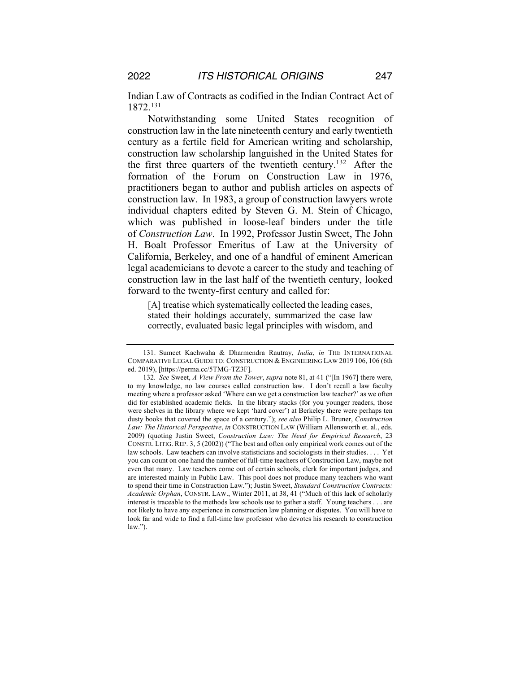Indian Law of Contracts as codified in the Indian Contract Act of 1872.131

Notwithstanding some United States recognition of construction law in the late nineteenth century and early twentieth century as a fertile field for American writing and scholarship, construction law scholarship languished in the United States for the first three quarters of the twentieth century.<sup>132</sup> After the formation of the Forum on Construction Law in 1976, practitioners began to author and publish articles on aspects of construction law. In 1983, a group of construction lawyers wrote individual chapters edited by Steven G. M. Stein of Chicago, which was published in loose-leaf binders under the title of *Construction Law*. In 1992, Professor Justin Sweet, The John H. Boalt Professor Emeritus of Law at the University of California, Berkeley, and one of a handful of eminent American legal academicians to devote a career to the study and teaching of construction law in the last half of the twentieth century, looked forward to the twenty-first century and called for:

[A] treatise which systematically collected the leading cases, stated their holdings accurately, summarized the case law correctly, evaluated basic legal principles with wisdom, and

<sup>131.</sup> Sumeet Kachwaha & Dharmendra Rautray, *India*, *in* THE INTERNATIONAL COMPARATIVE LEGAL GUIDE TO: CONSTRUCTION & ENGINEERING LAW 2019 106, 106 (6th ed. 2019), [https://perma.cc/5TMG-TZ3F].

<sup>132</sup>*. See* Sweet, *A View From the Tower*, *supra* note 81, at 41 ("[In 1967] there were, to my knowledge, no law courses called construction law. I don't recall a law faculty meeting where a professor asked 'Where can we get a construction law teacher?' as we often did for established academic fields. In the library stacks (for you younger readers, those were shelves in the library where we kept 'hard cover') at Berkeley there were perhaps ten dusty books that covered the space of a century."); *see also* Philip L. Bruner, *Construction Law: The Historical Perspective*, *in* CONSTRUCTION LAW (William Allensworth et. al., eds. 2009) (quoting Justin Sweet, *Construction Law: The Need for Empirical Research*, 23 CONSTR. LITIG. REP. 3, 5 (2002)) ("The best and often only empirical work comes out of the law schools. Law teachers can involve statisticians and sociologists in their studies. . . . Yet you can count on one hand the number of full-time teachers of Construction Law, maybe not even that many. Law teachers come out of certain schools, clerk for important judges, and are interested mainly in Public Law. This pool does not produce many teachers who want to spend their time in Construction Law."); Justin Sweet, *Standard Construction Contracts: Academic Orphan*, CONSTR. LAW., Winter 2011, at 38, 41 ("Much of this lack of scholarly interest is traceable to the methods law schools use to gather a staff. Young teachers . . . are not likely to have any experience in construction law planning or disputes. You will have to look far and wide to find a full-time law professor who devotes his research to construction law.").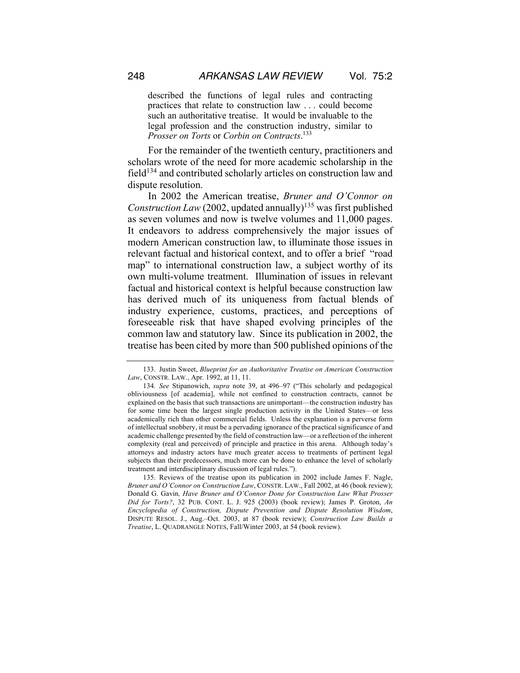described the functions of legal rules and contracting practices that relate to construction law . . . could become such an authoritative treatise. It would be invaluable to the legal profession and the construction industry, similar to *Prosser on Torts* or *Corbin on Contracts*. 133

For the remainder of the twentieth century, practitioners and scholars wrote of the need for more academic scholarship in the field<sup>134</sup> and contributed scholarly articles on construction law and dispute resolution.

In 2002 the American treatise, *Bruner and O'Connor on Construction Law* (2002, updated annually)<sup>135</sup> was first published as seven volumes and now is twelve volumes and 11,000 pages. It endeavors to address comprehensively the major issues of modern American construction law, to illuminate those issues in relevant factual and historical context, and to offer a brief "road map" to international construction law, a subject worthy of its own multi-volume treatment. Illumination of issues in relevant factual and historical context is helpful because construction law has derived much of its uniqueness from factual blends of industry experience, customs, practices, and perceptions of foreseeable risk that have shaped evolving principles of the common law and statutory law. Since its publication in 2002, the treatise has been cited by more than 500 published opinions of the

135. Reviews of the treatise upon its publication in 2002 include James F. Nagle, *Bruner and O'Connor on Construction Law*, CONSTR. LAW., Fall 2002, at 46 (book review); Donald G. Gavin*, Have Bruner and O'Connor Done for Construction Law What Prosser Did for Torts?*, 32 PUB. CONT. L. J. 925 (2003) (book review); James P. Groton, *An Encyclopedia of Construction, Dispute Prevention and Dispute Resolution Wisdom*, DISPUTE RESOL. J., Aug.–Oct. 2003, at 87 (book review); *Construction Law Builds a Treatise*, L. QUADRANGLE NOTES, Fall/Winter 2003, at 54 (book review).

<sup>133.</sup> Justin Sweet, *Blueprint for an Authoritative Treatise on American Construction Law*, CONSTR. LAW., Apr. 1992, at 11, 11.

<sup>134</sup>*. See* Stipanowich, *supra* note 39, at 496–97 ("This scholarly and pedagogical obliviousness [of academia], while not confined to construction contracts, cannot be explained on the basis that such transactions are unimportant—the construction industry has for some time been the largest single production activity in the United States—or less academically rich than other commercial fields. Unless the explanation is a perverse form of intellectual snobbery, it must be a pervading ignorance of the practical significance of and academic challenge presented by the field of construction law—or a reflection of the inherent complexity (real and perceived) of principle and practice in this arena. Although today's attorneys and industry actors have much greater access to treatments of pertinent legal subjects than their predecessors, much more can be done to enhance the level of scholarly treatment and interdisciplinary discussion of legal rules.").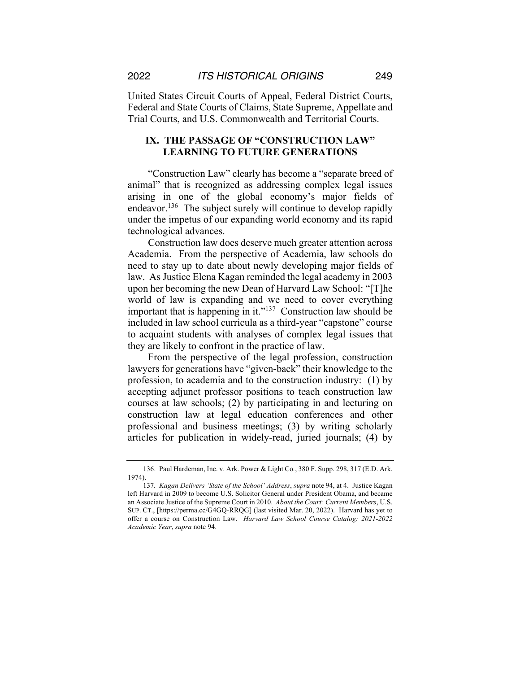United States Circuit Courts of Appeal, Federal District Courts, Federal and State Courts of Claims, State Supreme, Appellate and Trial Courts, and U.S. Commonwealth and Territorial Courts.

# **IX. THE PASSAGE OF "CONSTRUCTION LAW" LEARNING TO FUTURE GENERATIONS**

"Construction Law" clearly has become a "separate breed of animal" that is recognized as addressing complex legal issues arising in one of the global economy's major fields of endeavor.<sup>136</sup> The subject surely will continue to develop rapidly under the impetus of our expanding world economy and its rapid technological advances.

Construction law does deserve much greater attention across Academia. From the perspective of Academia, law schools do need to stay up to date about newly developing major fields of law. As Justice Elena Kagan reminded the legal academy in 2003 upon her becoming the new Dean of Harvard Law School: "[T]he world of law is expanding and we need to cover everything important that is happening in it."<sup>137</sup> Construction law should be included in law school curricula as a third-year "capstone" course to acquaint students with analyses of complex legal issues that they are likely to confront in the practice of law.

From the perspective of the legal profession, construction lawyers for generations have "given-back" their knowledge to the profession, to academia and to the construction industry: (1) by accepting adjunct professor positions to teach construction law courses at law schools; (2) by participating in and lecturing on construction law at legal education conferences and other professional and business meetings; (3) by writing scholarly articles for publication in widely-read, juried journals; (4) by

<sup>136.</sup> Paul Hardeman, Inc. v. Ark. Power & Light Co*.*, 380 F. Supp. 298, 317 (E.D. Ark. 1974).

<sup>137</sup>*. Kagan Delivers 'State of the School' Address*, *supra* note 94, at 4. Justice Kagan left Harvard in 2009 to become U.S. Solicitor General under President Obama, and became an Associate Justice of the Supreme Court in 2010. *About the Court: Current Members*, U.S. SUP. CT., [https://perma.cc/G4GQ-RRQG] (last visited Mar. 20, 2022). Harvard has yet to offer a course on Construction Law. *Harvard Law School Course Catalog: 2021-2022 Academic Year*, *supra* note 94.